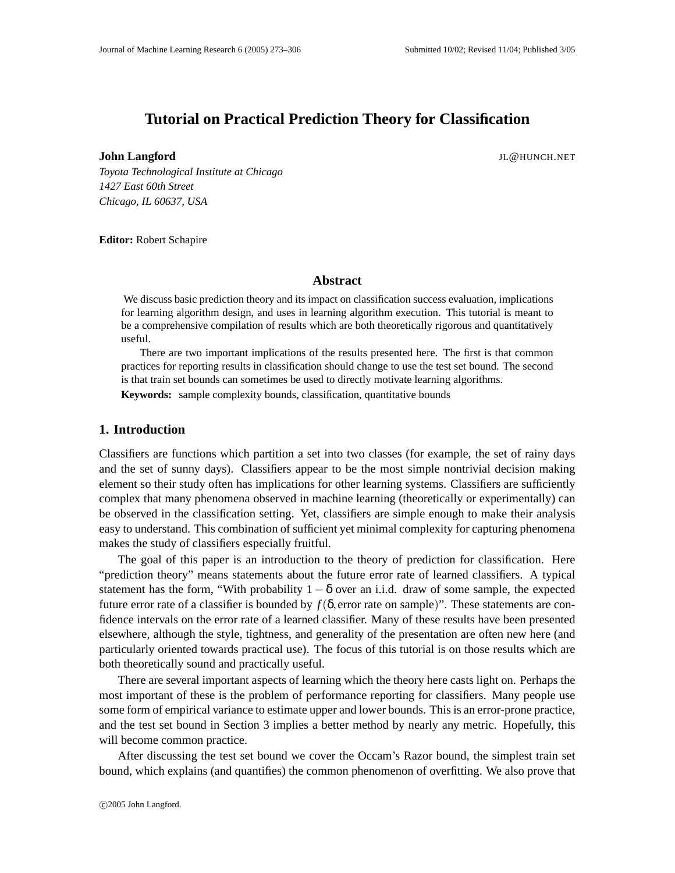# **Tutorial on Practical Prediction Theory for Classification**

**John Langford** JL@HUNCH.NET

*Toyota Technological Institute at Chicago 1427 East 60th Street Chicago, IL 60637, USA*

**Editor:** Robert Schapire

## **Abstract**

We discuss basic prediction theory and its impact on classification success evaluation, implications for learning algorithm design, and uses in learning algorithm execution. This tutorial is meant to be a comprehensive compilation of results which are both theoretically rigorous and quantitatively useful.

There are two important implications of the results presented here. The first is that common practices for reporting results in classification should change to use the test set bound. The second is that train set bounds can sometimes be used to directly motivate learning algorithms.

**Keywords:** sample complexity bounds, classification, quantitative bounds

## **1. Introduction**

Classifiers are functions which partition a set into two classes (for example, the set of rainy days and the set of sunny days). Classifiers appear to be the most simple nontrivial decision making element so their study often has implications for other learning systems. Classifiers are sufficiently complex that many phenomena observed in machine learning (theoretically or experimentally) can be observed in the classification setting. Yet, classifiers are simple enough to make their analysis easy to understand. This combination of sufficient yet minimal complexity for capturing phenomena makes the study of classifiers especially fruitful.

The goal of this paper is an introduction to the theory of prediction for classification. Here "prediction theory" means statements about the future error rate of learned classifiers. A typical statement has the form, "With probability  $1 - \delta$  over an i.i.d. draw of some sample, the expected future error rate of a classifier is bounded by  $f(\delta)$ , error rate on sample)". These statements are confidence intervals on the error rate of a learned classifier. Many of these results have been presented elsewhere, although the style, tightness, and generality of the presentation are often new here (and particularly oriented towards practical use). The focus of this tutorial is on those results which are both theoretically sound and practically useful.

There are several important aspects of learning which the theory here casts light on. Perhaps the most important of these is the problem of performance reporting for classifiers. Many people use some form of empirical variance to estimate upper and lower bounds. This is an error-prone practice, and the test set bound in Section 3 implies a better method by nearly any metric. Hopefully, this will become common practice.

After discussing the test set bound we cover the Occam's Razor bound, the simplest train set bound, which explains (and quantifies) the common phenomenon of overfitting. We also prove that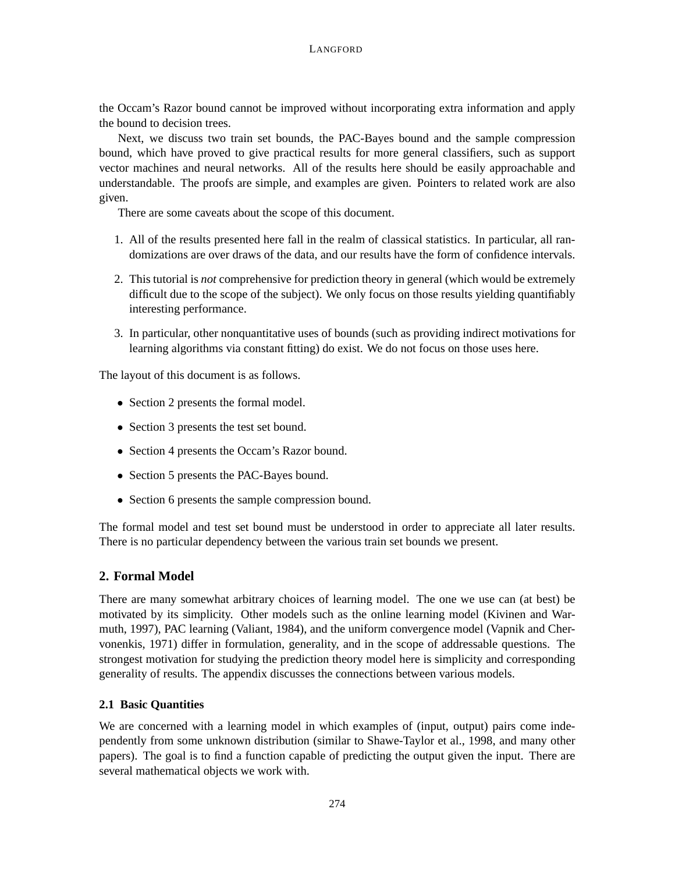the Occam's Razor bound cannot be improved without incorporating extra information and apply the bound to decision trees.

Next, we discuss two train set bounds, the PAC-Bayes bound and the sample compression bound, which have proved to give practical results for more general classifiers, such as support vector machines and neural networks. All of the results here should be easily approachable and understandable. The proofs are simple, and examples are given. Pointers to related work are also given.

There are some caveats about the scope of this document.

- 1. All of the results presented here fall in the realm of classical statistics. In particular, all randomizations are over draws of the data, and our results have the form of confidence intervals.
- 2. This tutorial is *not* comprehensive for prediction theory in general (which would be extremely difficult due to the scope of the subject). We only focus on those results yielding quantifiably interesting performance.
- 3. In particular, other nonquantitative uses of bounds (such as providing indirect motivations for learning algorithms via constant fitting) do exist. We do not focus on those uses here.

The layout of this document is as follows.

- Section 2 presents the formal model.
- Section 3 presents the test set bound.
- Section 4 presents the Occam's Razor bound.
- Section 5 presents the PAC-Bayes bound.
- Section 6 presents the sample compression bound.

The formal model and test set bound must be understood in order to appreciate all later results. There is no particular dependency between the various train set bounds we present.

# **2. Formal Model**

There are many somewhat arbitrary choices of learning model. The one we use can (at best) be motivated by its simplicity. Other models such as the online learning model (Kivinen and Warmuth, 1997), PAC learning (Valiant, 1984), and the uniform convergence model (Vapnik and Chervonenkis, 1971) differ in formulation, generality, and in the scope of addressable questions. The strongest motivation for studying the prediction theory model here is simplicity and corresponding generality of results. The appendix discusses the connections between various models.

## **2.1 Basic Quantities**

We are concerned with a learning model in which examples of (input, output) pairs come independently from some unknown distribution (similar to Shawe-Taylor et al., 1998, and many other papers). The goal is to find a function capable of predicting the output given the input. There are several mathematical objects we work with.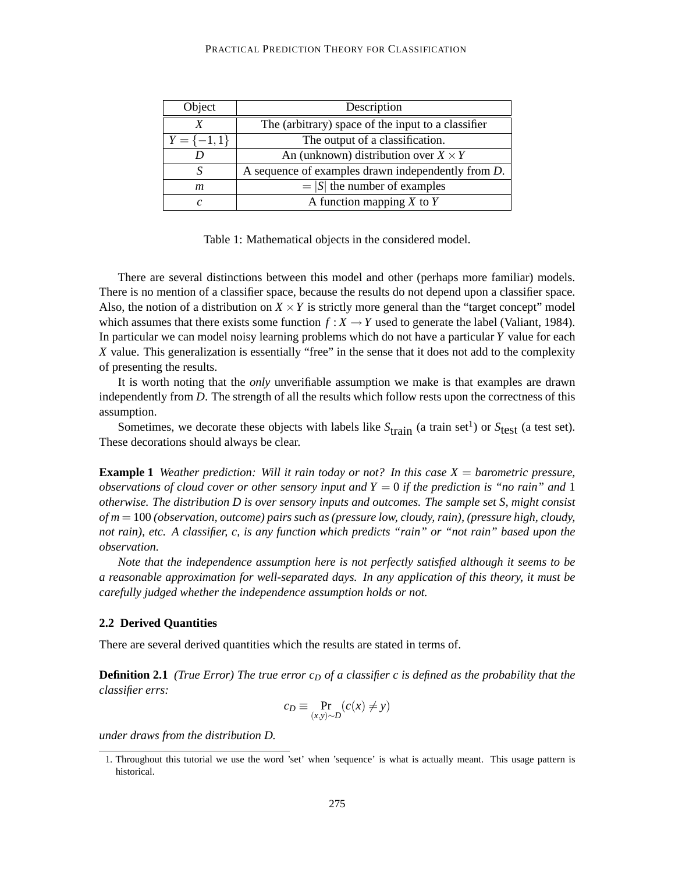#### PRACTICAL PREDICTION THEORY FOR CLASSIFICATION

| Object         | Description                                                |
|----------------|------------------------------------------------------------|
|                | The (arbitrary) space of the input to a classifier         |
| $Y = \{-1,1\}$ | The output of a classification.                            |
|                | An (unknown) distribution over $X \times Y$                |
|                | A sequence of examples drawn independently from <i>D</i> . |
| m              | $=  S $ the number of examples                             |
| c              | A function mapping $X$ to $Y$                              |

Table 1: Mathematical objects in the considered model.

There are several distinctions between this model and other (perhaps more familiar) models. There is no mention of a classifier space, because the results do not depend upon a classifier space. Also, the notion of a distribution on  $X \times Y$  is strictly more general than the "target concept" model which assumes that there exists some function  $f: X \to Y$  used to generate the label (Valiant, 1984). In particular we can model noisy learning problems which do not have a particular *Y* value for each *X* value. This generalization is essentially "free" in the sense that it does not add to the complexity of presenting the results.

It is worth noting that the *only* unverifiable assumption we make is that examples are drawn independently from *D*. The strength of all the results which follow rests upon the correctness of this assumption.

Sometimes, we decorate these objects with labels like  $S<sub>train</sub>$  (a train set<sup>1</sup>) or  $S<sub>test</sub>$  (a test set). These decorations should always be clear.

**Example 1** *Weather prediction: Will it rain today or not? In this case X* = *barometric pressure, observations of cloud cover or other sensory input and Y* = 0 *if the prediction is "no rain" and* 1 *otherwise. The distribution D is over sensory inputs and outcomes. The sample set S, might consist of m* = 100 *(observation, outcome) pairs such as (pressure low, cloudy, rain), (pressure high, cloudy, not rain), etc. A classifier, c, is any function which predicts "rain" or "not rain" based upon the observation.*

*Note that the independence assumption here is not perfectly satisfied although it seems to be a reasonable approximation for well-separated days. In any application of this theory, it must be carefully judged whether the independence assumption holds or not.*

#### **2.2 Derived Quantities**

There are several derived quantities which the results are stated in terms of.

**Definition 2.1** *(True Error)* The true error  $c<sub>D</sub>$  of a classifier c is defined as the probability that the *classifier errs:*

$$
c_D \equiv \Pr_{(x,y)\sim D} (c(x) \neq y)
$$

*under draws from the distribution D.*

<sup>1.</sup> Throughout this tutorial we use the word 'set' when 'sequence' is what is actually meant. This usage pattern is historical.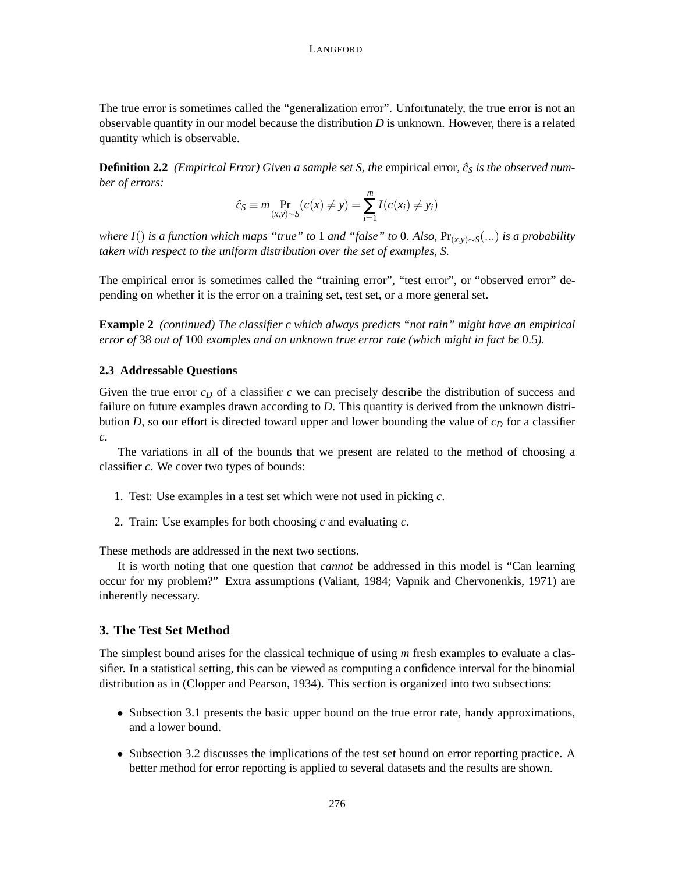The true error is sometimes called the "generalization error". Unfortunately, the true error is not an observable quantity in our model because the distribution *D* is unknown. However, there is a related quantity which is observable.

**Definition 2.2** *(Empirical Error)* Given a sample set S, the empirical error,  $\hat{c}_S$  is the observed num*ber of errors:*

$$
\hat{c}_S \equiv m \Pr_{(x,y)\sim S} (c(x) \neq y) = \sum_{i=1}^m I(c(x_i) \neq y_i)
$$

*where I*() *is a function which maps "true" to* 1 *and "false" to* 0*. Also,* Pr(*x*,*y*)∼*<sup>S</sup>* (...) *is a probability taken with respect to the uniform distribution over the set of examples, S.*

The empirical error is sometimes called the "training error", "test error", or "observed error" depending on whether it is the error on a training set, test set, or a more general set.

**Example 2** *(continued) The classifier c which always predicts "not rain" might have an empirical error of* 38 *out of* 100 *examples and an unknown true error rate (which might in fact be* 0.5*).*

## **2.3 Addressable Questions**

Given the true error *c<sup>D</sup>* of a classifier *c* we can precisely describe the distribution of success and failure on future examples drawn according to *D*. This quantity is derived from the unknown distribution  $D$ , so our effort is directed toward upper and lower bounding the value of  $c<sub>D</sub>$  for a classifier *c*.

The variations in all of the bounds that we present are related to the method of choosing a classifier *c*. We cover two types of bounds:

- 1. Test: Use examples in a test set which were not used in picking *c*.
- 2. Train: Use examples for both choosing *c* and evaluating *c*.

These methods are addressed in the next two sections.

It is worth noting that one question that *cannot* be addressed in this model is "Can learning occur for my problem?" Extra assumptions (Valiant, 1984; Vapnik and Chervonenkis, 1971) are inherently necessary.

# **3. The Test Set Method**

The simplest bound arises for the classical technique of using *m* fresh examples to evaluate a classifier. In a statistical setting, this can be viewed as computing a confidence interval for the binomial distribution as in (Clopper and Pearson, 1934). This section is organized into two subsections:

- Subsection 3.1 presents the basic upper bound on the true error rate, handy approximations, and a lower bound.
- Subsection 3.2 discusses the implications of the test set bound on error reporting practice. A better method for error reporting is applied to several datasets and the results are shown.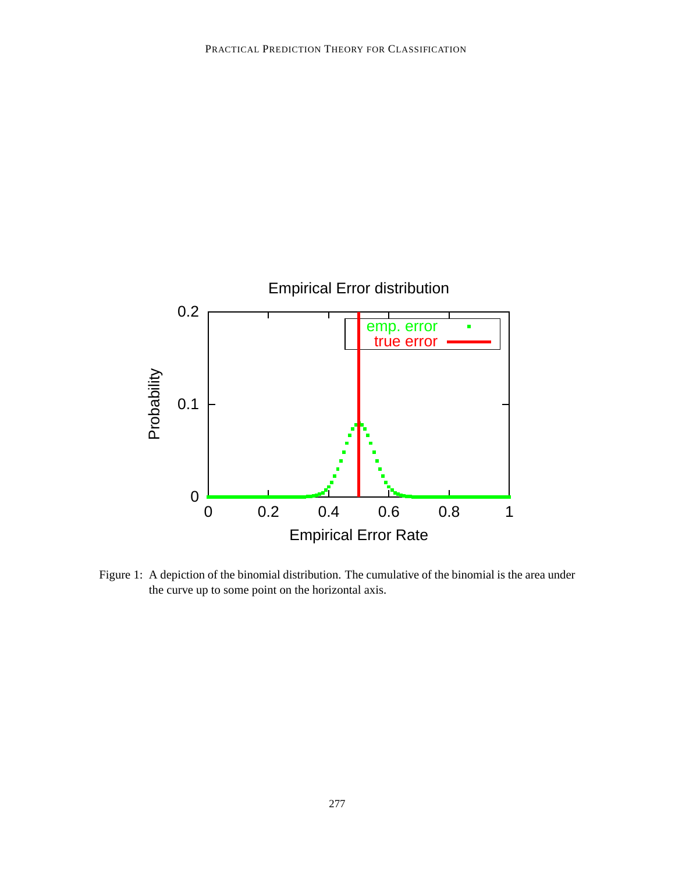

Figure 1: A depiction of the binomial distribution. The cumulative of the binomial is the area under the curve up to some point on the horizontal axis.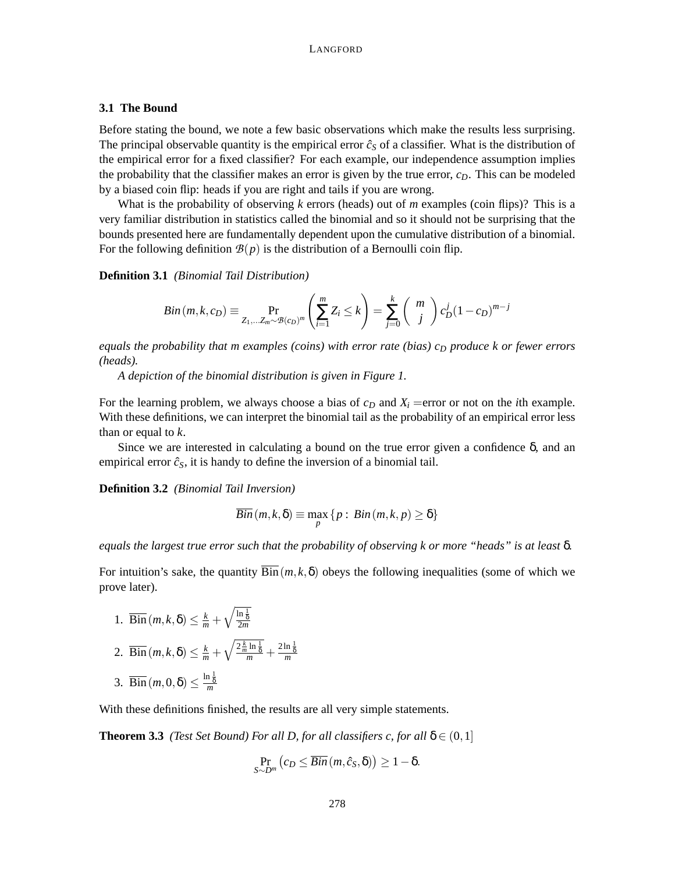## **3.1 The Bound**

Before stating the bound, we note a few basic observations which make the results less surprising. The principal observable quantity is the empirical error  $\hat{c}_s$  of a classifier. What is the distribution of the empirical error for a fixed classifier? For each example, our independence assumption implies the probability that the classifier makes an error is given by the true error,  $c<sub>D</sub>$ . This can be modeled by a biased coin flip: heads if you are right and tails if you are wrong.

What is the probability of observing *k* errors (heads) out of *m* examples (coin flips)? This is a very familiar distribution in statistics called the binomial and so it should not be surprising that the bounds presented here are fundamentally dependent upon the cumulative distribution of a binomial. For the following definition  $\mathcal{B}(p)$  is the distribution of a Bernoulli coin flip.

**Definition 3.1** *(Binomial Tail Distribution)*

$$
Bin(m, k, c_D) \equiv \Pr_{Z_1, \dots, Z_m \sim \mathcal{B}(c_D)^m} \left( \sum_{i=1}^m Z_i \le k \right) = \sum_{j=0}^k {m \choose j} c_D^j (1 - c_D)^{m-j}
$$

*equals the probability that m examples (coins) with error rate (bias) c<sub>D</sub> produce k or fewer errors (heads).*

*A depiction of the binomial distribution is given in Figure 1.*

For the learning problem, we always choose a bias of  $c<sub>D</sub>$  and  $X<sub>i</sub>$  =error or not on the *i*th example. With these definitions, we can interpret the binomial tail as the probability of an empirical error less than or equal to *k*.

Since we are interested in calculating a bound on the true error given a confidence  $\delta$ , and an empirical error  $\hat{c}_s$ , it is handy to define the inversion of a binomial tail.

**Definition 3.2** *(Binomial Tail Inversion)*

$$
\overline{Bin}(m, k, \delta) \equiv \max_{p} \{p : Bin(m, k, p) \geq \delta\}
$$

*equals the largest true error such that the probability of observing k or more "heads" is at least* δ*.*

For intuition's sake, the quantity  $\overline{\text{Bin}}(m, k, \delta)$  obeys the following inequalities (some of which we prove later).

- 1.  $\overline{Bin}(m, k, \delta) \leq \frac{k}{m} + \sqrt{\frac{\ln \frac{1}{\delta}}{2m}}$
- 2.  $\overline{Bin}(m, k, \delta) \leq \frac{k}{m} + \sqrt{\frac{2 \frac{k}{m} \ln \frac{1}{\delta}}{m} + \frac{2 \ln \frac{1}{\delta}}{m}}$
- 3.  $\overline{Bin}(m, 0, \delta) \leq \frac{\ln \frac{1}{\delta}}{m}$

With these definitions finished, the results are all very simple statements.

**Theorem 3.3** *(Test Set Bound) For all D, for all classifiers c, for all*  $\delta \in (0,1]$ 

$$
\Pr_{S \sim D^m} (c_D \leq \overline{Bin} (m, \hat{c}_S, \delta)) \geq 1 - \delta.
$$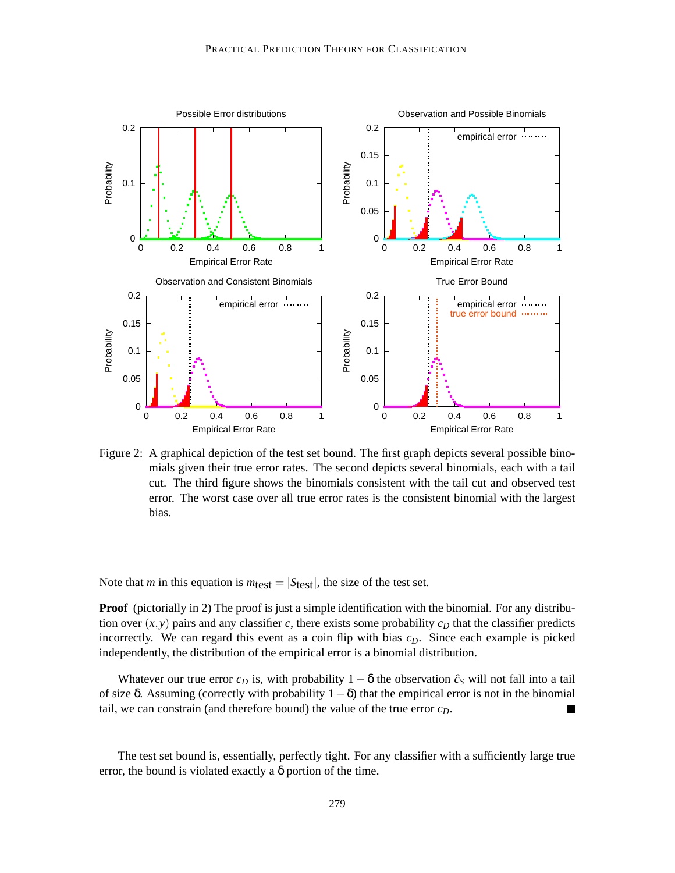

Figure 2: A graphical depiction of the test set bound. The first graph depicts several possible binomials given their true error rates. The second depicts several binomials, each with a tail cut. The third figure shows the binomials consistent with the tail cut and observed test error. The worst case over all true error rates is the consistent binomial with the largest bias.

Note that *m* in this equation is  $m_{\text{test}} = |S_{\text{test}}|$ , the size of the test set.

**Proof** (pictorially in 2) The proof is just a simple identification with the binomial. For any distribution over  $(x, y)$  pairs and any classifier *c*, there exists some probability  $c<sub>D</sub>$  that the classifier predicts incorrectly. We can regard this event as a coin flip with bias *cD*. Since each example is picked independently, the distribution of the empirical error is a binomial distribution.

Whatever our true error  $c_D$  is, with probability  $1 - \delta$  the observation  $\hat{c}_S$  will not fall into a tail of size δ. Assuming (correctly with probability  $1-\delta$ ) that the empirical error is not in the binomial tail, we can constrain (and therefore bound) the value of the true error  $c_0$ . tail, we can constrain (and therefore bound) the value of the true error *cD*.

The test set bound is, essentially, perfectly tight. For any classifier with a sufficiently large true error, the bound is violated exactly a  $\delta$  portion of the time.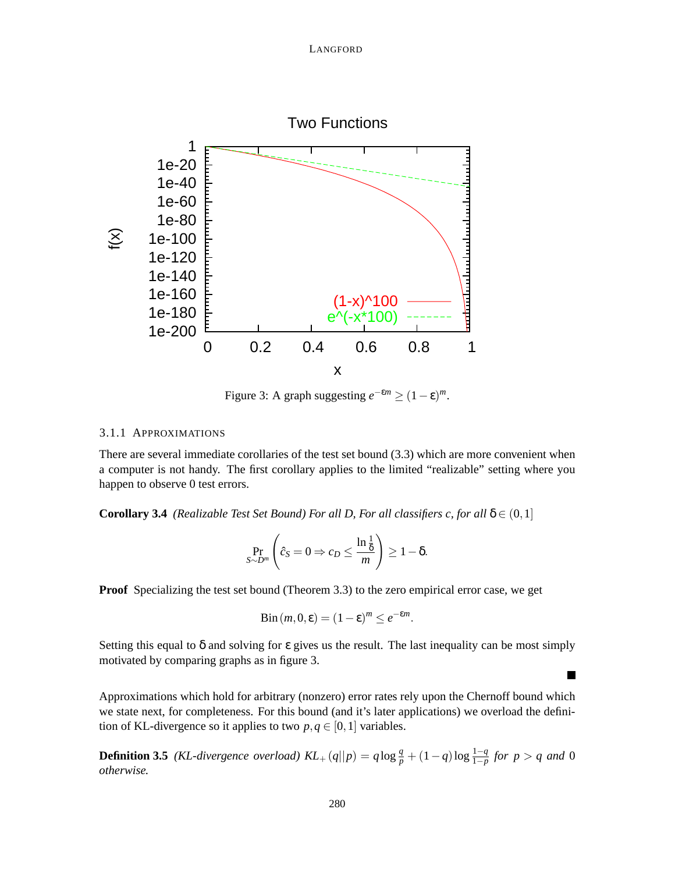

Figure 3: A graph suggesting  $e^{-\epsilon m} \ge (1 - \epsilon)^m$ .

## 3.1.1 APPROXIMATIONS

There are several immediate corollaries of the test set bound (3.3) which are more convenient when a computer is not handy. The first corollary applies to the limited "realizable" setting where you happen to observe 0 test errors.

**Corollary 3.4** *(Realizable Test Set Bound) For all D, For all classifiers c, for all*  $\delta \in (0,1]$ 

$$
\Pr_{S \sim D^m} \left( \hat{c}_S = 0 \Rightarrow c_D \le \frac{\ln \frac{1}{\delta}}{m} \right) \ge 1 - \delta.
$$

**Proof** Specializing the test set bound (Theorem 3.3) to the zero empirical error case, we get

$$
Bin(m, 0, \varepsilon) = (1 - \varepsilon)^m \le e^{-\varepsilon m}.
$$

Setting this equal to  $\delta$  and solving for  $\epsilon$  gives us the result. The last inequality can be most simply motivated by comparing graphs as in figure 3.

 $\blacksquare$ 

Approximations which hold for arbitrary (nonzero) error rates rely upon the Chernoff bound which we state next, for completeness. For this bound (and it's later applications) we overload the definition of KL-divergence so it applies to two  $p, q \in [0, 1]$  variables.

**Definition 3.5** *(KL-divergence overload)*  $KL_+(q||p) = q \log \frac{q}{p} + (1-q) \log \frac{1-q}{1-p}$  for  $p > q$  and 0 *otherwise.*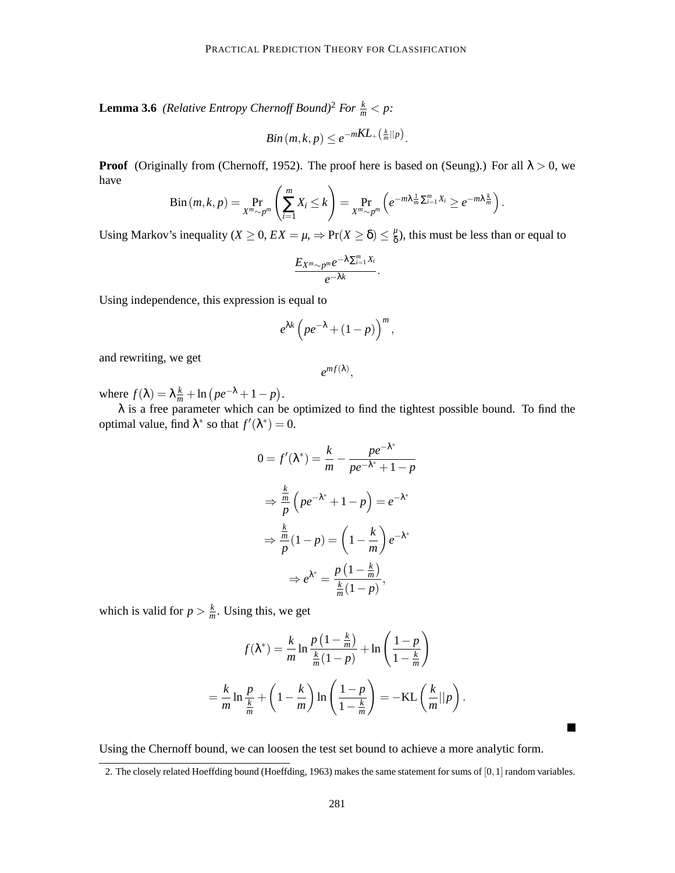**Lemma 3.6** *(Relative Entropy Chernoff Bound)*<sup>2</sup> *For*  $\frac{k}{m}$  < *p*:

$$
Bin(m,k,p) \leq e^{-mKL_+(\frac{k}{m}||p)}.
$$

**Proof** (Originally from (Chernoff, 1952). The proof here is based on (Seung).) For all  $\lambda > 0$ , we have

$$
\mathrm{Bin}\left(m,k,p\right)=\Pr_{X^m\sim p^m}\left(\sum_{i=1}^m X_i\leq k\right)=\Pr_{X^m\sim p^m}\left(e^{-m\lambda\frac{1}{m}\sum_{i=1}^m X_i}\geq e^{-m\lambda\frac{k}{m}}\right).
$$

Using Markov's inequality ( $X \ge 0$ ,  $EX = \mu$ ,  $\Rightarrow Pr(X \ge \delta) \le \frac{\mu}{\delta}$  $\frac{\mu}{\delta}$ ), this must be less than or equal to

$$
\frac{E_{X^m\sim p^m}e^{-\lambda\sum_{i=1}^m X_i}}{e^{-\lambda k}}.
$$

Using independence, this expression is equal to

$$
e^{\lambda k}\left( pe^{-\lambda}+(1-p)\right)^m,
$$

and rewriting, we get

 $e^{mf(\lambda)},$ 

where  $f(\lambda) = \lambda \frac{k}{m} + \ln (pe^{-\lambda} + 1 - p)$ .

 $\lambda$  is a free parameter which can be optimized to find the tightest possible bound. To find the optimal value, find  $\lambda^*$  so that  $f'(\lambda^*) = 0$ .

$$
0 = f'(\lambda^*) = \frac{k}{m} - \frac{pe^{-\lambda^*}}{pe^{-\lambda^*} + 1 - p}
$$

$$
\Rightarrow \frac{\frac{k}{m}}{p} \left( pe^{-\lambda^*} + 1 - p \right) = e^{-\lambda^*}
$$

$$
\Rightarrow \frac{\frac{k}{m}}{p} (1 - p) = \left( 1 - \frac{k}{m} \right) e^{-\lambda^*}
$$

$$
\Rightarrow e^{\lambda^*} = \frac{p \left( 1 - \frac{k}{m} \right)}{\frac{k}{m} (1 - p)},
$$

which is valid for  $p > \frac{k}{n}$  $\frac{k}{m}$ . Using this, we get

$$
f(\lambda^*) = \frac{k}{m} \ln \frac{p\left(1 - \frac{k}{m}\right)}{\frac{k}{m}(1 - p)} + \ln \left(\frac{1 - p}{1 - \frac{k}{m}}\right)
$$

$$
= \frac{k}{m} \ln \frac{p}{\frac{k}{m}} + \left(1 - \frac{k}{m}\right) \ln \left(\frac{1 - p}{1 - \frac{k}{m}}\right) = -\text{KL}\left(\frac{k}{m}||p\right).
$$

Using the Chernoff bound, we can loosen the test set bound to achieve a more analytic form.

٠

<sup>2.</sup> The closely related Hoeffding bound (Hoeffding, 1963) makes the same statement for sums of [0,1] random variables.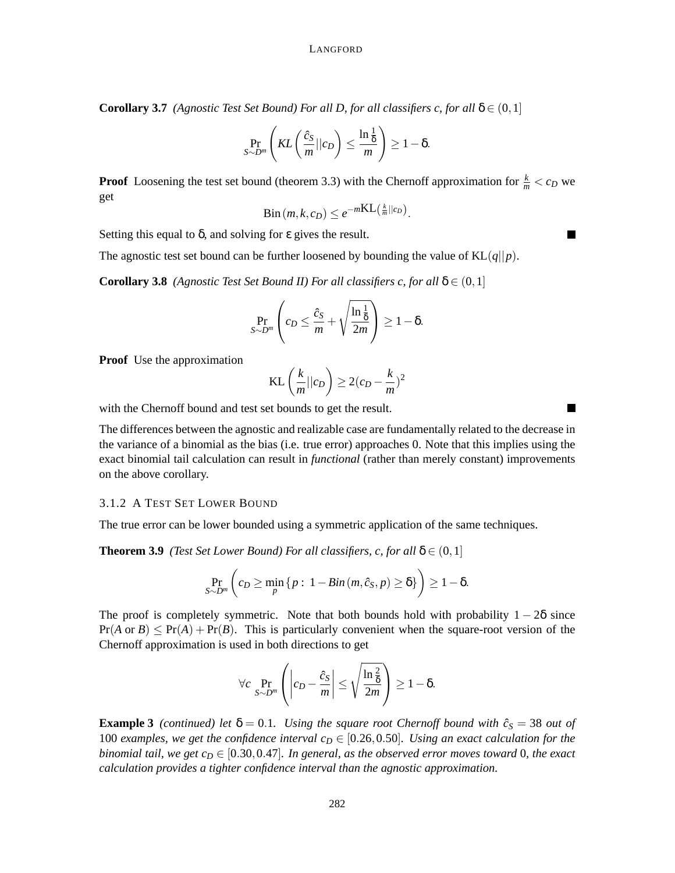**Corollary 3.7** *(Agnostic Test Set Bound) For all D, for all classifiers c, for all*  $\delta \in (0,1]$ 

$$
\Pr_{S \sim D^m} \left( KL \left( \frac{\hat{c}_S}{m} || c_D \right) \leq \frac{\ln \frac{1}{\delta}}{m} \right) \geq 1 - \delta.
$$

**Proof** Loosening the test set bound (theorem 3.3) with the Chernoff approximation for  $\frac{k}{m} < c_D$  we get

$$
\mathrm{Bin}\left(m,k,c_D\right) \leq e^{-m\mathrm{KL}\left(\frac{k}{m}||c_D\right)}.
$$

Setting this equal to  $\delta$ , and solving for  $\varepsilon$  gives the result.

The agnostic test set bound can be further loosened by bounding the value of  $KL(q||p)$ .

**Corollary 3.8** *(Agnostic Test Set Bound II) For all classifiers c, for all*  $\delta \in (0,1]$ 

$$
\Pr_{S \sim D^m} \left( c_D \le \frac{\hat{c}_S}{m} + \sqrt{\frac{\ln \frac{1}{\delta}}{2m}} \right) \ge 1 - \delta.
$$

**Proof** Use the approximation

$$
KL\left(\frac{k}{m}||c_D\right) \ge 2(c_D - \frac{k}{m})^2
$$

with the Chernoff bound and test set bounds to get the result.

The differences between the agnostic and realizable case are fundamentally related to the decrease in the variance of a binomial as the bias (i.e. true error) approaches 0. Note that this implies using the exact binomial tail calculation can result in *functional* (rather than merely constant) improvements on the above corollary.

## 3.1.2 A TEST SET LOWER BOUND

The true error can be lower bounded using a symmetric application of the same techniques.

**Theorem 3.9** *(Test Set Lower Bound) For all classifiers, c, for all*  $\delta \in (0,1]$ 

$$
\Pr_{S \sim D^m} \left( c_D \ge \min_p \left\{ p : 1 - Bin(m, \hat{c}_S, p) \ge \delta \right\} \right) \ge 1 - \delta.
$$

The proof is completely symmetric. Note that both bounds hold with probability  $1 - 2\delta$  since  $Pr(A \text{ or } B) \leq Pr(A) + Pr(B)$ . This is particularly convenient when the square-root version of the Chernoff approximation is used in both directions to get

$$
\forall c \Pr_{S \sim D^m} \left( \left| c_D - \frac{\hat{c}_S}{m} \right| \le \sqrt{\frac{\ln \frac{2}{\delta}}{2m}} \right) \ge 1 - \delta.
$$

**Example 3** *(continued) let*  $\delta = 0.1$ *. Using the square root Chernoff bound with*  $\hat{c}_s = 38$  *out of* 100 *examples, we get the confidence interval*  $c<sub>D</sub> \in [0.26, 0.50]$ *. Using an exact calculation for the binomial tail, we get*  $c_D \in [0.30, 0.47]$ *. In general, as the observed error moves toward* 0*, the exact calculation provides a tighter confidence interval than the agnostic approximation.*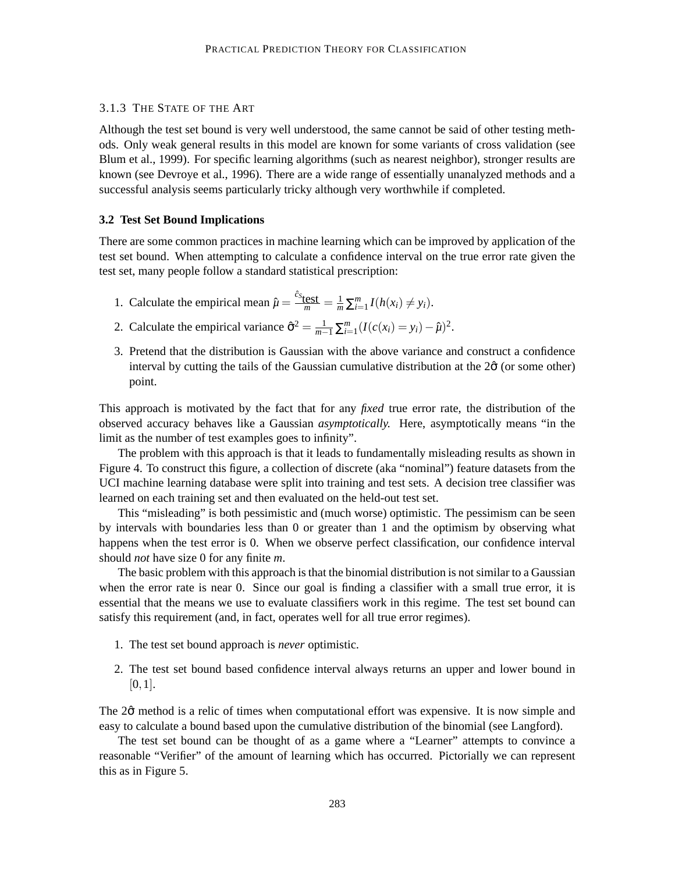## 3.1.3 THE STATE OF THE ART

Although the test set bound is very well understood, the same cannot be said of other testing methods. Only weak general results in this model are known for some variants of cross validation (see Blum et al., 1999). For specific learning algorithms (such as nearest neighbor), stronger results are known (see Devroye et al., 1996). There are a wide range of essentially unanalyzed methods and a successful analysis seems particularly tricky although very worthwhile if completed.

### **3.2 Test Set Bound Implications**

There are some common practices in machine learning which can be improved by application of the test set bound. When attempting to calculate a confidence interval on the true error rate given the test set, many people follow a standard statistical prescription:

- 1. Calculate the empirical mean  $\hat{\mu} = \frac{\hat{c}_{s}}{m} = \frac{1}{m} \sum_{i=1}^{m} I(h(x_i) \neq y_i)$ .
- 2. Calculate the empirical variance  $\hat{\sigma}^2 = \frac{1}{m-1} \sum_{i=1}^m (I(c(x_i) = y_i) \hat{\mu})^2$ .
- 3. Pretend that the distribution is Gaussian with the above variance and construct a confidence interval by cutting the tails of the Gaussian cumulative distribution at the  $2\hat{\sigma}$  (or some other) point.

This approach is motivated by the fact that for any *fixed* true error rate, the distribution of the observed accuracy behaves like a Gaussian *asymptotically.* Here, asymptotically means "in the limit as the number of test examples goes to infinity".

The problem with this approach is that it leads to fundamentally misleading results as shown in Figure 4. To construct this figure, a collection of discrete (aka "nominal") feature datasets from the UCI machine learning database were split into training and test sets. A decision tree classifier was learned on each training set and then evaluated on the held-out test set.

This "misleading" is both pessimistic and (much worse) optimistic. The pessimism can be seen by intervals with boundaries less than 0 or greater than 1 and the optimism by observing what happens when the test error is 0. When we observe perfect classification, our confidence interval should *not* have size 0 for any finite *m*.

The basic problem with this approach is that the binomial distribution is not similar to a Gaussian when the error rate is near 0. Since our goal is finding a classifier with a small true error, it is essential that the means we use to evaluate classifiers work in this regime. The test set bound can satisfy this requirement (and, in fact, operates well for all true error regimes).

- 1. The test set bound approach is *never* optimistic.
- 2. The test set bound based confidence interval always returns an upper and lower bound in  $[0,1]$ .

The 2 $\hat{\sigma}$  method is a relic of times when computational effort was expensive. It is now simple and easy to calculate a bound based upon the cumulative distribution of the binomial (see Langford).

The test set bound can be thought of as a game where a "Learner" attempts to convince a reasonable "Verifier" of the amount of learning which has occurred. Pictorially we can represent this as in Figure 5.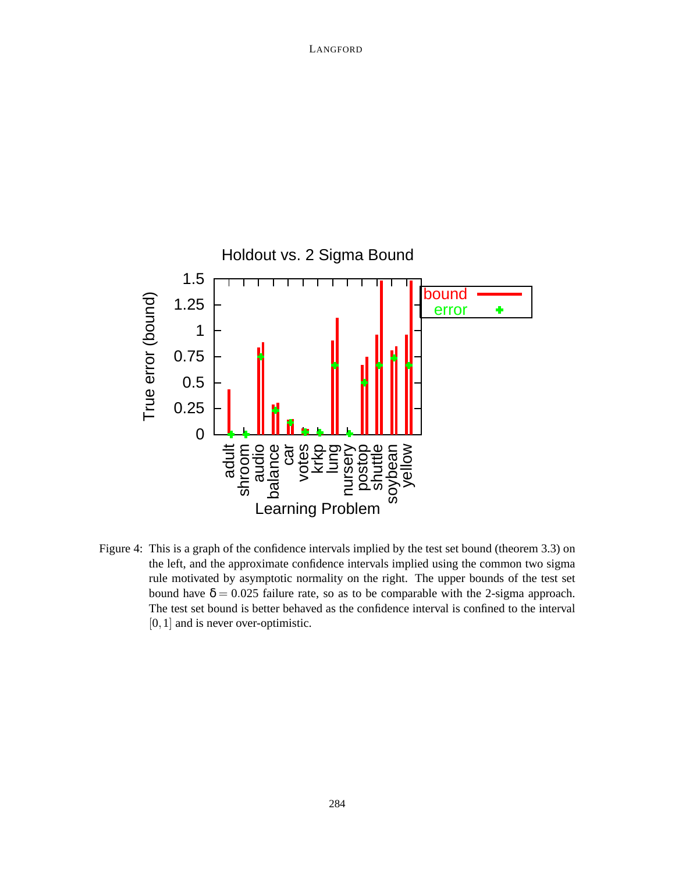

Figure 4: This is a graph of the confidence intervals implied by the test set bound (theorem 3.3) on the left, and the approximate confidence intervals implied using the common two sigma rule motivated by asymptotic normality on the right. The upper bounds of the test set bound have  $\delta = 0.025$  failure rate, so as to be comparable with the 2-sigma approach. The test set bound is better behaved as the confidence interval is confined to the interval [0, 1] and is never over-optimistic.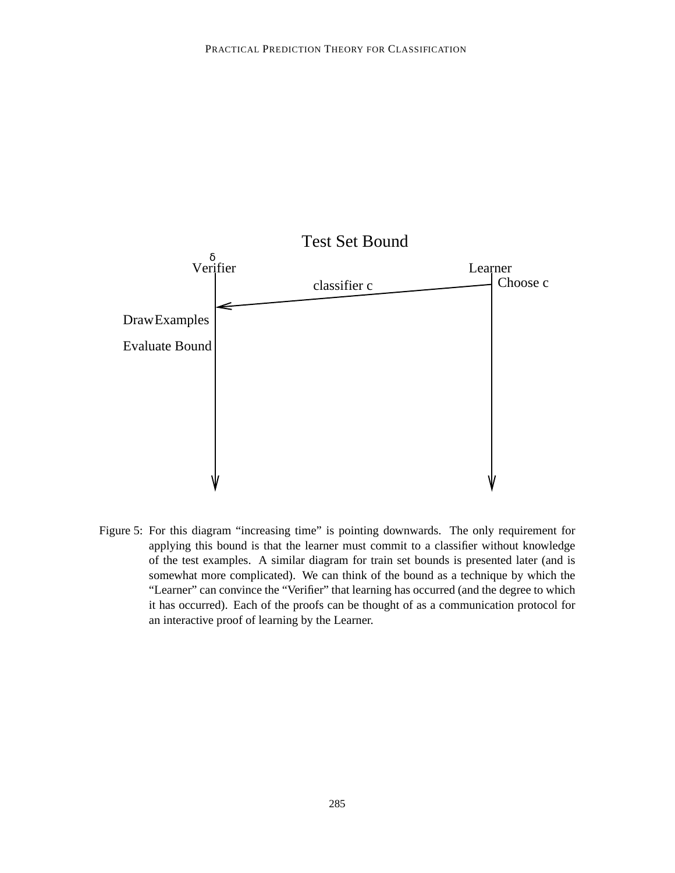

Figure 5: For this diagram "increasing time" is pointing downwards. The only requirement for applying this bound is that the learner must commit to a classifier without knowledge of the test examples. A similar diagram for train set bounds is presented later (and is somewhat more complicated). We can think of the bound as a technique by which the "Learner" can convince the "Verifier" that learning has occurred (and the degree to which it has occurred). Each of the proofs can be thought of as a communication protocol for an interactive proof of learning by the Learner.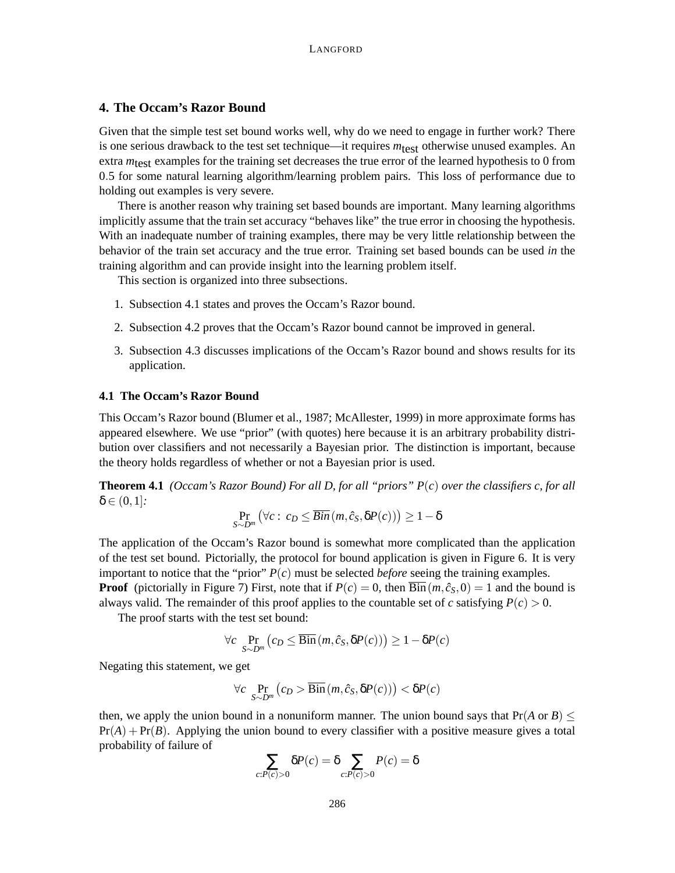## **4. The Occam's Razor Bound**

Given that the simple test set bound works well, why do we need to engage in further work? There is one serious drawback to the test set technique—it requires  $m_{\text{test}}$  otherwise unused examples. An extra *m*<sub>test</sub> examples for the training set decreases the true error of the learned hypothesis to 0 from 0.5 for some natural learning algorithm/learning problem pairs. This loss of performance due to holding out examples is very severe.

There is another reason why training set based bounds are important. Many learning algorithms implicitly assume that the train set accuracy "behaves like" the true error in choosing the hypothesis. With an inadequate number of training examples, there may be very little relationship between the behavior of the train set accuracy and the true error. Training set based bounds can be used *in* the training algorithm and can provide insight into the learning problem itself.

This section is organized into three subsections.

- 1. Subsection 4.1 states and proves the Occam's Razor bound.
- 2. Subsection 4.2 proves that the Occam's Razor bound cannot be improved in general.
- 3. Subsection 4.3 discusses implications of the Occam's Razor bound and shows results for its application.

## **4.1 The Occam's Razor Bound**

This Occam's Razor bound (Blumer et al., 1987; McAllester, 1999) in more approximate forms has appeared elsewhere. We use "prior" (with quotes) here because it is an arbitrary probability distribution over classifiers and not necessarily a Bayesian prior. The distinction is important, because the theory holds regardless of whether or not a Bayesian prior is used.

**Theorem 4.1** *(Occam's Razor Bound) For all D, for all "priors" P*(*c*) *over the classifiers c, for all*  $\delta \in (0,1]$ .

$$
\Pr_{S \sim D^m} (\forall c : c_D \leq \overline{Bin} (m, \hat{c}_S, \delta P(c))) \geq 1 - \delta
$$

The application of the Occam's Razor bound is somewhat more complicated than the application of the test set bound. Pictorially, the protocol for bound application is given in Figure 6. It is very important to notice that the "prior"  $P(c)$  must be selected *before* seeing the training examples. **Proof** (pictorially in Figure 7) First, note that if  $P(c) = 0$ , then  $\overline{Bin}(m, \hat{c}_S, 0) = 1$  and the bound is always valid. The remainder of this proof applies to the countable set of *c* satisfying  $P(c) > 0$ .

The proof starts with the test set bound:

$$
\forall c \ \Pr_{S \sim D^m} \left( c_D \le \overline{\text{Bin}} \left( m, \hat{c}_S, \delta P(c) \right) \right) \ge 1 - \delta P(c)
$$

Negating this statement, we get

$$
\forall c \ \Pr_{S \sim D^m} (c_D > \overline{\mathrm{Bin}}(m, \hat{c}_S, \delta P(c)) < \delta P(c)
$$

then, we apply the union bound in a nonuniform manner. The union bound says that  $Pr(A \text{ or } B)$  $Pr(A) + Pr(B)$ . Applying the union bound to every classifier with a positive measure gives a total probability of failure of

$$
\sum_{c:P(c)>0} \delta P(c) = \delta \sum_{c:P(c)>0} P(c) = \delta
$$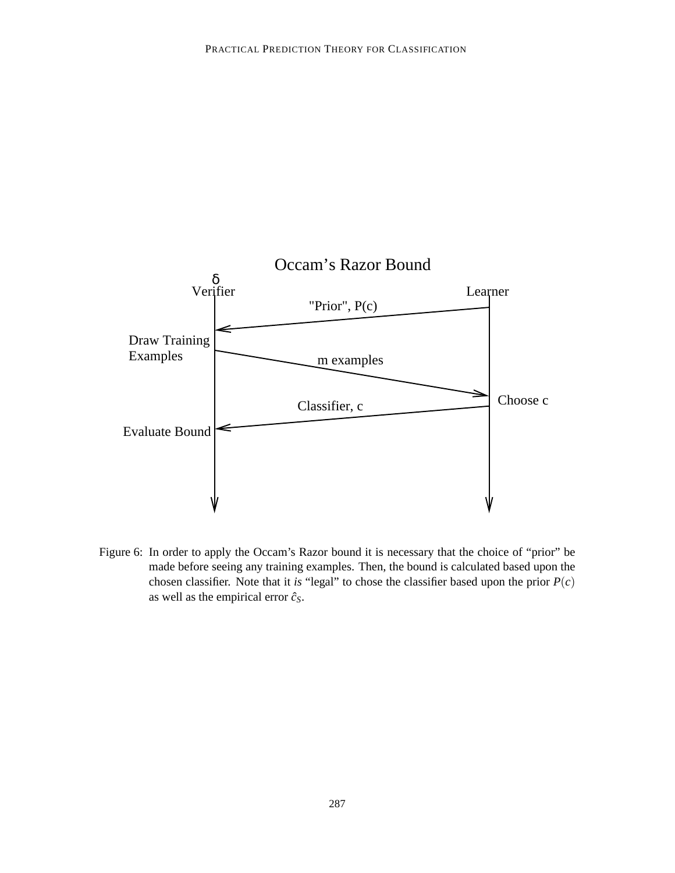

Figure 6: In order to apply the Occam's Razor bound it is necessary that the choice of "prior" be made before seeing any training examples. Then, the bound is calculated based upon the chosen classifier. Note that it *is* "legal" to chose the classifier based upon the prior  $P(c)$ as well as the empirical error  $\hat{c}_s$ .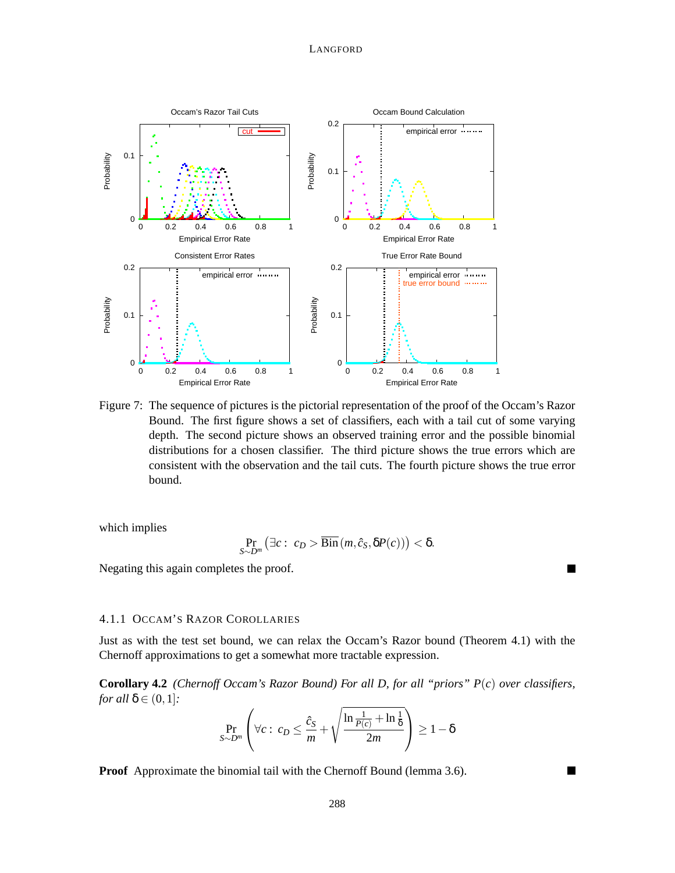

Figure 7: The sequence of pictures is the pictorial representation of the proof of the Occam's Razor Bound. The first figure shows a set of classifiers, each with a tail cut of some varying depth. The second picture shows an observed training error and the possible binomial distributions for a chosen classifier. The third picture shows the true errors which are consistent with the observation and the tail cuts. The fourth picture shows the true error bound.

which implies

$$
\Pr_{S \sim D^m} (\exists c : c_D > \overline{\text{Bin}}(m, \hat{c}_S, \delta P(c))) < \delta.
$$

 $\blacksquare$ 

Negating this again completes the proof.

## 4.1.1 OCCAM'S RAZOR COROLLARIES

Just as with the test set bound, we can relax the Occam's Razor bound (Theorem 4.1) with the Chernoff approximations to get a somewhat more tractable expression.

**Corollary 4.2** *(Chernoff Occam's Razor Bound) For all D, for all "priors" P*(*c*) *over classifiers, for all*  $\delta \in (0,1]$ *:* 

$$
\Pr_{S \sim D^m} \left( \forall c : c_D \le \frac{\hat{c}_S}{m} + \sqrt{\frac{\ln \frac{1}{P(c)} + \ln \frac{1}{\delta}}{2m}} \right) \ge 1 - \delta
$$

**Proof** Approximate the binomial tail with the Chernoff Bound (lemma 3.6).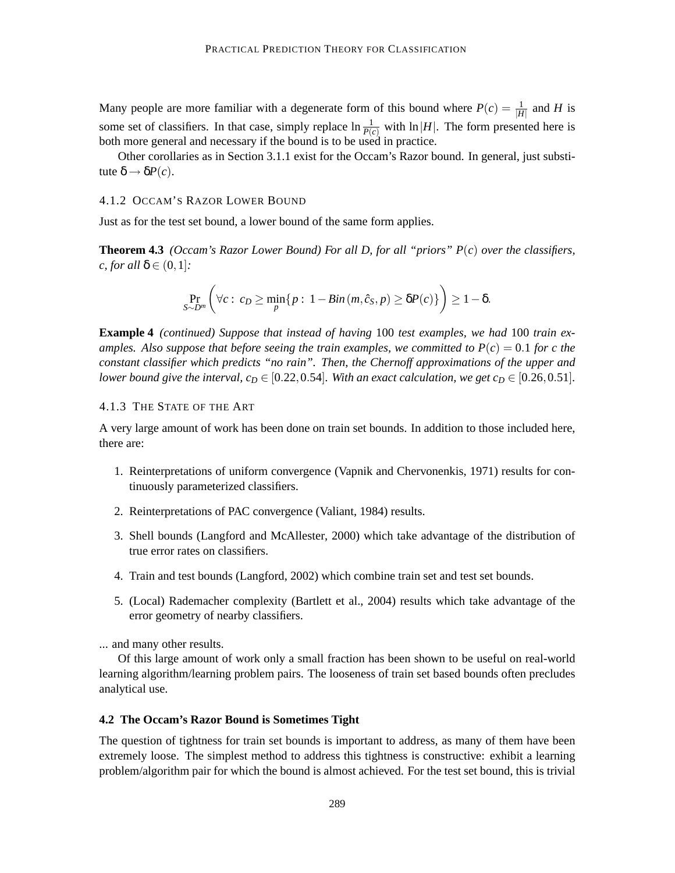Many people are more familiar with a degenerate form of this bound where  $P(c) = \frac{1}{|H|}$  and *H* is some set of classifiers. In that case, simply replace  $\ln \frac{1}{P(c)}$  with  $\ln |H|$ . The form presented here is both more general and necessary if the bound is to be used in practice.

Other corollaries as in Section 3.1.1 exist for the Occam's Razor bound. In general, just substitute  $\delta \rightarrow \delta P(c)$ .

### 4.1.2 OCCAM'S RAZOR LOWER BOUND

Just as for the test set bound, a lower bound of the same form applies.

**Theorem 4.3** *(Occam's Razor Lower Bound) For all D, for all "priors" P*(*c*) *over the classifiers, c, for all* δ ∈  $(0,1)$ *:* 

$$
\Pr_{S \sim D^m} \left( \forall c : c_D \ge \min_p \{ p : 1 - Bin(m, \hat{c}_S, p) \ge \delta P(c) \} \right) \ge 1 - \delta.
$$

**Example 4** *(continued) Suppose that instead of having* 100 *test examples, we had* 100 *train examples. Also suppose that before seeing the train examples, we committed to*  $P(c) = 0.1$  *for c the constant classifier which predicts "no rain". Then, the Chernoff approximations of the upper and lower bound give the interval, c*<sub>D</sub> ∈ [0.22, 0.54]*. With an exact calculation, we get c*<sub>D</sub> ∈ [0.26, 0.51].

### 4.1.3 THE STATE OF THE ART

A very large amount of work has been done on train set bounds. In addition to those included here, there are:

- 1. Reinterpretations of uniform convergence (Vapnik and Chervonenkis, 1971) results for continuously parameterized classifiers.
- 2. Reinterpretations of PAC convergence (Valiant, 1984) results.
- 3. Shell bounds (Langford and McAllester, 2000) which take advantage of the distribution of true error rates on classifiers.
- 4. Train and test bounds (Langford, 2002) which combine train set and test set bounds.
- 5. (Local) Rademacher complexity (Bartlett et al., 2004) results which take advantage of the error geometry of nearby classifiers.

... and many other results.

Of this large amount of work only a small fraction has been shown to be useful on real-world learning algorithm/learning problem pairs. The looseness of train set based bounds often precludes analytical use.

#### **4.2 The Occam's Razor Bound is Sometimes Tight**

The question of tightness for train set bounds is important to address, as many of them have been extremely loose. The simplest method to address this tightness is constructive: exhibit a learning problem/algorithm pair for which the bound is almost achieved. For the test set bound, this is trivial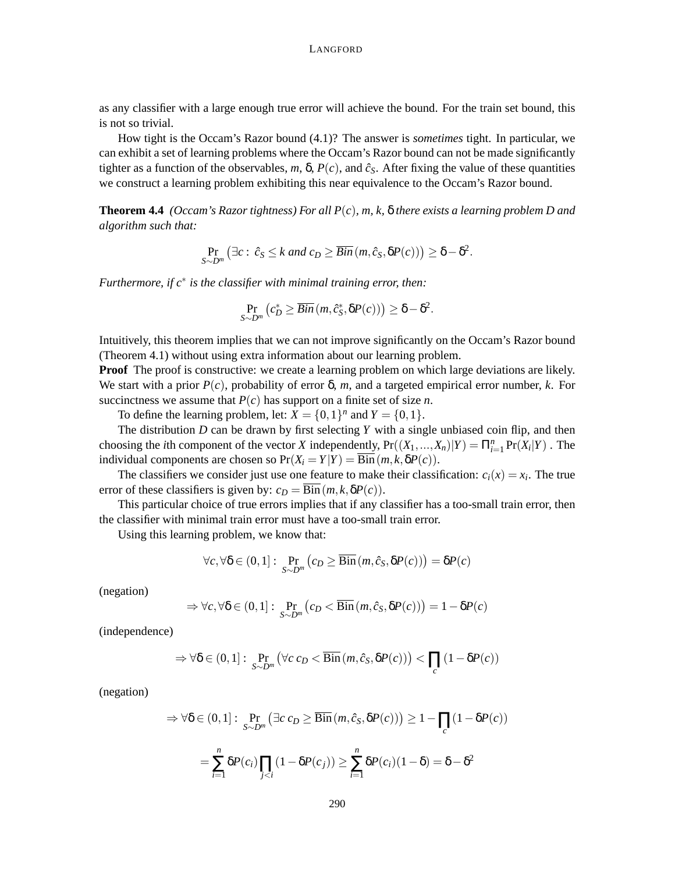as any classifier with a large enough true error will achieve the bound. For the train set bound, this is not so trivial.

How tight is the Occam's Razor bound (4.1)? The answer is *sometimes* tight. In particular, we can exhibit a set of learning problems where the Occam's Razor bound can not be made significantly tighter as a function of the observables,  $m$ ,  $\delta$ ,  $P(c)$ , and  $\hat{c}_s$ . After fixing the value of these quantities we construct a learning problem exhibiting this near equivalence to the Occam's Razor bound.

**Theorem 4.4** *(Occam's Razor tightness) For all P*(*c*)*, m, k,* δ *there exists a learning problem D and algorithm such that:*

$$
\Pr_{S \sim D^m} (\exists c : \hat{c}_S \le k \text{ and } c_D \ge \overline{Bin}(m, \hat{c}_S, \delta P(c))) \ge \delta - \delta^2.
$$

*Furthermore, if c*∗ *is the classifier with minimal training error, then:*

$$
\Pr_{S \sim D^m} (c_D^* \geq \overline{Bin} (m, \hat{c}_S^*, \delta P(c))) \geq \delta - \delta^2.
$$

Intuitively, this theorem implies that we can not improve significantly on the Occam's Razor bound (Theorem 4.1) without using extra information about our learning problem.

**Proof** The proof is constructive: we create a learning problem on which large deviations are likely. We start with a prior *P*(*c*), probability of error δ, *m*, and a targeted empirical error number, *k*. For succinctness we assume that  $P(c)$  has support on a finite set of size *n*.

To define the learning problem, let:  $X = \{0, 1\}^n$  and  $Y = \{0, 1\}$ .

The distribution *D* can be drawn by first selecting *Y* with a single unbiased coin flip, and then choosing the *i*th component of the vector *X* independently,  $Pr((X_1, ..., X_n)|Y) = \prod_{i=1}^n Pr(X_i|Y)$ . The individual components are chosen so  $Pr(X_i = Y | Y) = Bin(m, k, \delta P(c)).$ 

The classifiers we consider just use one feature to make their classification:  $c_i(x) = x_i$ . The true error of these classifiers is given by:  $c_D = \overline{\text{Bin}}(m, k, \delta P(c))$ .

This particular choice of true errors implies that if any classifier has a too-small train error, then the classifier with minimal train error must have a too-small train error.

Using this learning problem, we know that:

$$
\forall c, \forall \delta \in (0,1]: \Pr_{S \sim D^m} (c_D \geq \overline{\text{Bin}}(m, \hat{c}_S, \delta P(c))) = \delta P(c)
$$

(negation)

$$
\Rightarrow \forall c, \forall \delta \in (0,1]: \Pr_{S \sim D^m} (c_D < \overline{\text{Bin}}(m, \hat{c}_S, \delta P(c))) = 1 - \delta P(c)
$$

(independence)

$$
\Rightarrow \forall \delta \in (0,1]: \Pr_{S \sim D^m} \left( \forall c \ c_D < \overline{\text{Bin}}\left(m, \hat{c}_S, \delta P(c)\right)\right) < \prod_c \left(1 - \delta P(c)\right)
$$

(negation)

$$
\Rightarrow \forall \delta \in (0,1]: \Pr_{S \sim D^m} (\exists c \ c_D \ge \overline{\text{Bin}} \ (m, \hat{c}_S, \delta P(c)) \ge 1 - \prod_c (1 - \delta P(c))
$$

$$
= \sum_{i=1}^n \delta P(c_i) \prod_{j < i} (1 - \delta P(c_j)) \ge \sum_{i=1}^n \delta P(c_i) (1 - \delta) = \delta - \delta^2
$$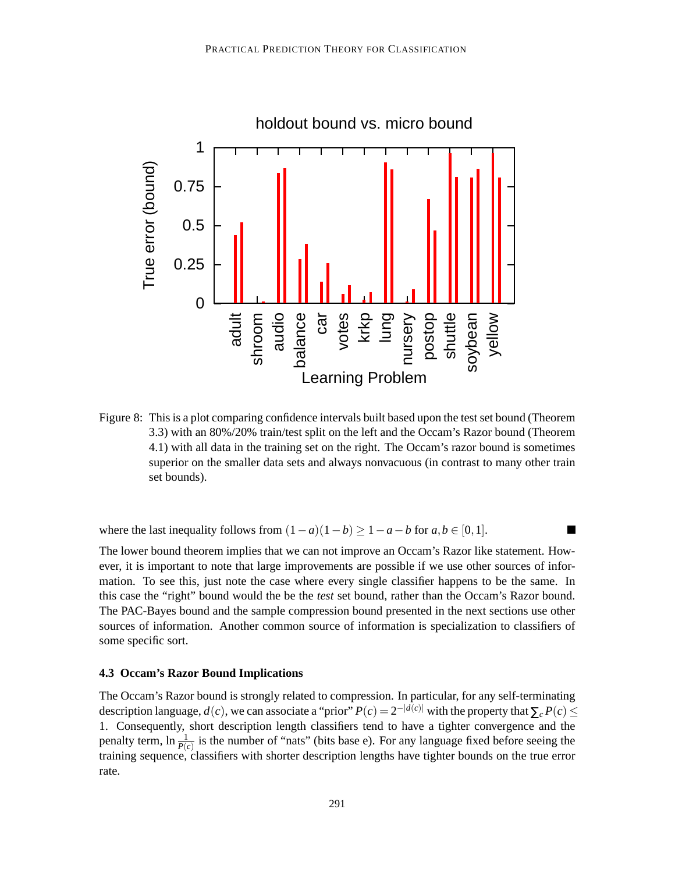

Figure 8: This is a plot comparing confidence intervals built based upon the test set bound (Theorem 3.3) with an 80%/20% train/test split on the left and the Occam's Razor bound (Theorem 4.1) with all data in the training set on the right. The Occam's razor bound is sometimes superior on the smaller data sets and always nonvacuous (in contrast to many other train set bounds).

where the last inequality follows from  $(1-a)(1-b) \geq 1-a-b$  for  $a, b \in [0,1]$ .

The lower bound theorem implies that we can not improve an Occam's Razor like statement. However, it is important to note that large improvements are possible if we use other sources of information. To see this, just note the case where every single classifier happens to be the same. In this case the "right" bound would the be the *test* set bound, rather than the Occam's Razor bound. The PAC-Bayes bound and the sample compression bound presented in the next sections use other sources of information. Another common source of information is specialization to classifiers of some specific sort.

## **4.3 Occam's Razor Bound Implications**

The Occam's Razor bound is strongly related to compression. In particular, for any self-terminating description language,  $d(c)$ , we can associate a "prior"  $P(c) = 2^{-|d(c)|}$  with the property that  $\sum_{c} P(c) \le$ 1. Consequently, short description length classifiers tend to have a tighter convergence and the penalty term,  $\ln \frac{1}{P(c)}$  is the number of "nats" (bits base e). For any language fixed before seeing the training sequence, classifiers with shorter description lengths have tighter bounds on the true error rate.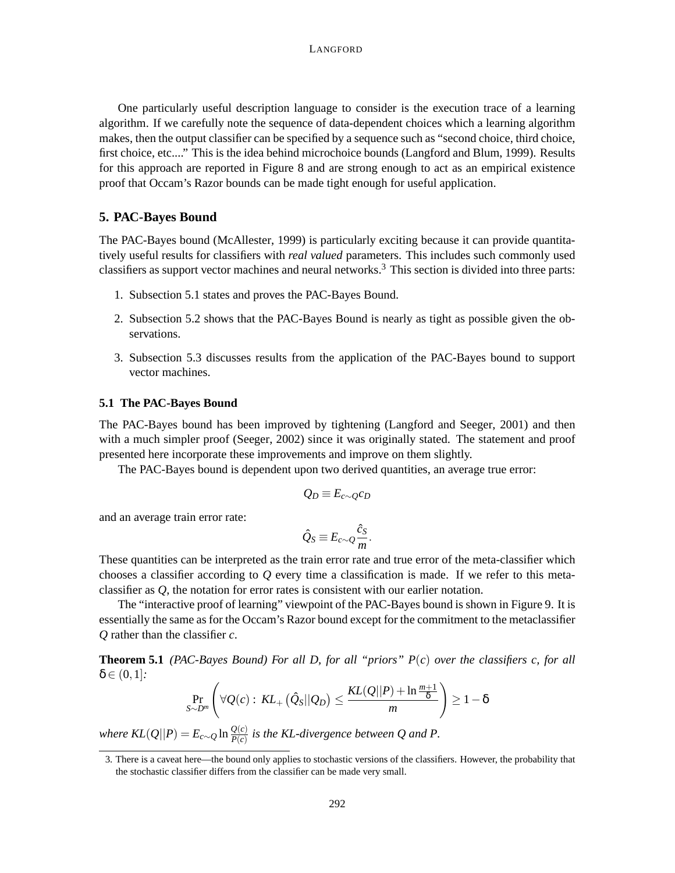One particularly useful description language to consider is the execution trace of a learning algorithm. If we carefully note the sequence of data-dependent choices which a learning algorithm makes, then the output classifier can be specified by a sequence such as "second choice, third choice, first choice, etc...." This is the idea behind microchoice bounds (Langford and Blum, 1999). Results for this approach are reported in Figure 8 and are strong enough to act as an empirical existence proof that Occam's Razor bounds can be made tight enough for useful application.

## **5. PAC-Bayes Bound**

The PAC-Bayes bound (McAllester, 1999) is particularly exciting because it can provide quantitatively useful results for classifiers with *real valued* parameters. This includes such commonly used classifiers as support vector machines and neural networks.<sup>3</sup> This section is divided into three parts:

- 1. Subsection 5.1 states and proves the PAC-Bayes Bound.
- 2. Subsection 5.2 shows that the PAC-Bayes Bound is nearly as tight as possible given the observations.
- 3. Subsection 5.3 discusses results from the application of the PAC-Bayes bound to support vector machines.

#### **5.1 The PAC-Bayes Bound**

The PAC-Bayes bound has been improved by tightening (Langford and Seeger, 2001) and then with a much simpler proof (Seeger, 2002) since it was originally stated. The statement and proof presented here incorporate these improvements and improve on them slightly.

The PAC-Bayes bound is dependent upon two derived quantities, an average true error:

$$
Q_D\equiv E_{c\sim Q}c_D
$$

and an average train error rate:

$$
\hat{Q}_S \equiv E_{c \sim Q} \frac{\hat{c}_S}{m}.
$$

These quantities can be interpreted as the train error rate and true error of the meta-classifier which chooses a classifier according to *Q* every time a classification is made. If we refer to this metaclassifier as *Q*, the notation for error rates is consistent with our earlier notation.

The "interactive proof of learning" viewpoint of the PAC-Bayes bound is shown in Figure 9. It is essentially the same as for the Occam's Razor bound except for the commitment to the metaclassifier *Q* rather than the classifier *c*.

**Theorem 5.1** *(PAC-Bayes Bound) For all D, for all "priors" P*(*c*) *over the classifiers c, for all*  $\delta \in (0,1]$ *:* 

$$
\Pr_{S \sim D^m} \left( \forall Q(c): KL_+\left(\hat{Q}_S || Q_D\right) \leq \frac{KL(Q||P) + \ln \frac{m+1}{\delta}}{m} \right) \geq 1 - \delta
$$

*where KL*( $Q||P$ ) =  $E_{c \sim Q}$  ln  $\frac{Q(c)}{P(c)}$  is the KL-divergence between Q and P.

<sup>3.</sup> There is a caveat here—the bound only applies to stochastic versions of the classifiers. However, the probability that the stochastic classifier differs from the classifier can be made very small.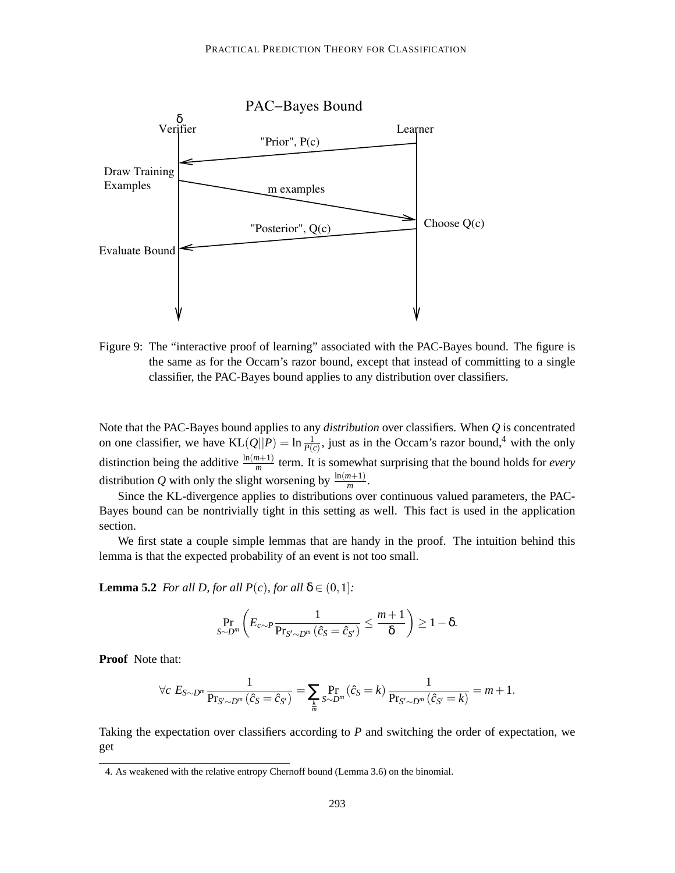

Figure 9: The "interactive proof of learning" associated with the PAC-Bayes bound. The figure is the same as for the Occam's razor bound, except that instead of committing to a single classifier, the PAC-Bayes bound applies to any distribution over classifiers.

Note that the PAC-Bayes bound applies to any *distribution* over classifiers. When *Q* is concentrated on one classifier, we have  $KL(Q||P) = \ln \frac{1}{P(c)}$ , just as in the Occam's razor bound,<sup>4</sup> with the only distinction being the additive  $\frac{\ln(m+1)}{m}$  term. It is somewhat surprising that the bound holds for *every* distribution *Q* with only the slight worsening by  $\frac{\ln(m+1)}{m}$ .

Since the KL-divergence applies to distributions over continuous valued parameters, the PAC-Bayes bound can be nontrivially tight in this setting as well. This fact is used in the application section.

We first state a couple simple lemmas that are handy in the proof. The intuition behind this lemma is that the expected probability of an event is not too small.

**Lemma 5.2** *For all D, for all*  $P(c)$ *, for all*  $\delta \in (0,1]$ *:* 

$$
\Pr_{S \sim D^m} \left( E_{c \sim P} \frac{1}{\Pr_{S' \sim D^m} (\hat{c}_S = \hat{c}_{S'})} \leq \frac{m+1}{\delta} \right) \geq 1 - \delta.
$$

**Proof** Note that:

$$
\forall c \ E_{S \sim D^m} \frac{1}{\Pr_{S' \sim D^m}(\hat{c}_S = \hat{c}_{S'})} = \sum_{\frac{k}{m}} \Pr_{S \sim D^m}(\hat{c}_S = k) \frac{1}{\Pr_{S' \sim D^m}(\hat{c}_{S'} = k)} = m + 1.
$$

Taking the expectation over classifiers according to *P* and switching the order of expectation, we get

<sup>4.</sup> As weakened with the relative entropy Chernoff bound (Lemma 3.6) on the binomial.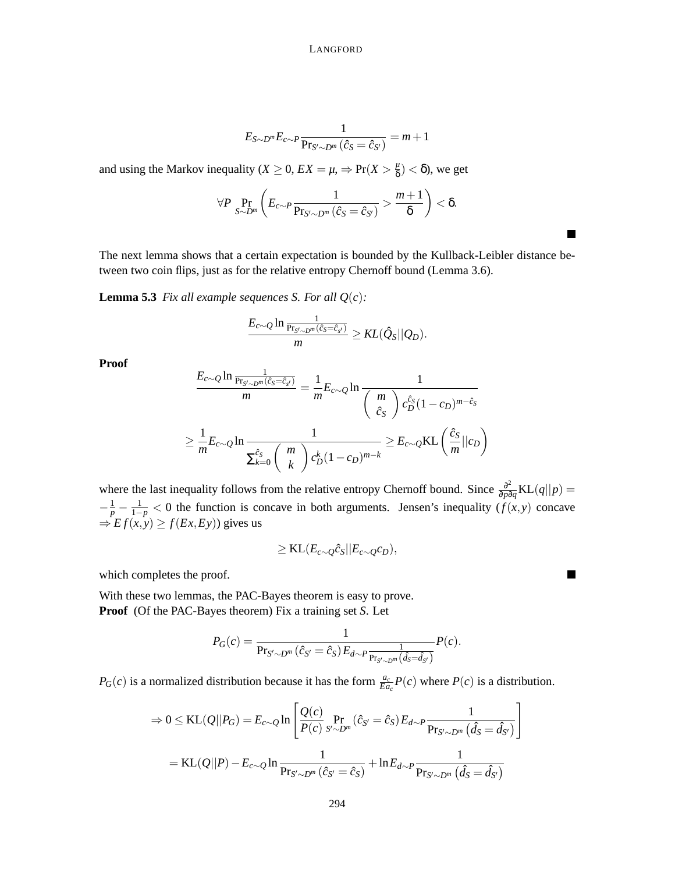$$
E_{S\sim D^m}E_{c\sim P}\frac{1}{\Pr_{S'\sim D^m}(\hat{c}_S=\hat{c}_{S'})}=m+1
$$

and using the Markov inequality (*X*  $\geq$  0, *EX* =  $\mu$ ,  $\Rightarrow$  Pr(*X*  $> \frac{\mu}{\delta}$  $\frac{\mu}{\delta}$ ) <  $\delta$ ), we get

$$
\forall P \Pr_{S \sim D^m} \left( E_{c \sim P} \frac{1}{\Pr_{S' \sim D^m} (\hat{c}_S = \hat{c}_{S'})} > \frac{m+1}{\delta} \right) < \delta.
$$

The next lemma shows that a certain expectation is bounded by the Kullback-Leibler distance between two coin flips, just as for the relative entropy Chernoff bound (Lemma 3.6).

**Lemma 5.3** *Fix all example sequences S. For all*  $Q(c)$ *:* 

$$
\frac{E_{c\sim Q}\ln\frac{1}{\mathrm{Pr}_{S'\sim D^m}(\hat{c}_S=\hat{c}_{s'})}}{m}\geq KL(\hat{Q}_S||Q_D).
$$

**Proof**

$$
\frac{E_{c\sim Q} \ln \frac{1}{\Pr_{S' \sim D^m}(\hat{c}_S = \hat{c}_{s'})}}{m} = \frac{1}{m} E_{c\sim Q} \ln \frac{1}{\left(\begin{array}{c} m \\ \hat{c}_S \end{array}\right) c_D^{\hat{c}_S} (1 - c_D)^{m - \hat{c}_S}}
$$
\n
$$
\geq \frac{1}{m} E_{c\sim Q} \ln \frac{1}{\sum_{k=0}^{\hat{c}_S} \left(\begin{array}{c} m \\ k \end{array}\right) c_D^k (1 - c_D)^{m - k}} \geq E_{c\sim Q} \text{KL}\left(\frac{\hat{c}_S}{m} || c_D\right)
$$

where the last inequality follows from the relative entropy Chernoff bound. Since  $\frac{\partial^2}{\partial x^2}$  $\frac{\partial^2}{\partial p \partial q}$ KL(*q*||*p*) =  $-\frac{1}{p} - \frac{1}{1-p} < 0$  the function is concave in both arguments. Jensen's inequality  $(f(x, y))$  concave  $\Rightarrow$  *Ef*(*x*,*y*)  $\ge$  *f*(*Ex*,*Ey*)) gives us

$$
\geq \text{KL}(E_{c\sim Q}\hat{c}_S||E_{c\sim Q}c_D),
$$

which completes the proof.

With these two lemmas, the PAC-Bayes theorem is easy to prove. **Proof** (Of the PAC-Bayes theorem) Fix a training set *S*. Let

$$
P_G(c) = \frac{1}{\Pr_{S' \sim D^m}(\hat{c}_{S'} = \hat{c}_S) E_{d \sim P} \frac{1}{\Pr_{S' \sim D^m}(\hat{d}_S = \hat{d}_{S'})}} P(c).
$$

*P<sub>G</sub>*(*c*) is a normalized distribution because it has the form  $\frac{a_c}{E a_c} P(c)$  where  $P(c)$  is a distribution.

$$
\Rightarrow 0 \leq \text{KL}(Q||P_G) = E_{c \sim Q} \ln \left[ \frac{Q(c)}{P(c)} \Pr_{S' \sim D^m} (\hat{c}_{S'} = \hat{c}_S) E_{d \sim P} \frac{1}{\Pr_{S' \sim D^m} (\hat{d}_S = \hat{d}_{S'})} \right]
$$

$$
= \text{KL}(Q||P) - E_{c \sim Q} \ln \frac{1}{\Pr_{S' \sim D^m} (\hat{c}_{S'} = \hat{c}_S)} + \ln E_{d \sim P} \frac{1}{\Pr_{S' \sim D^m} (\hat{d}_S = \hat{d}_{S'})}
$$

 $\blacksquare$ 

**T**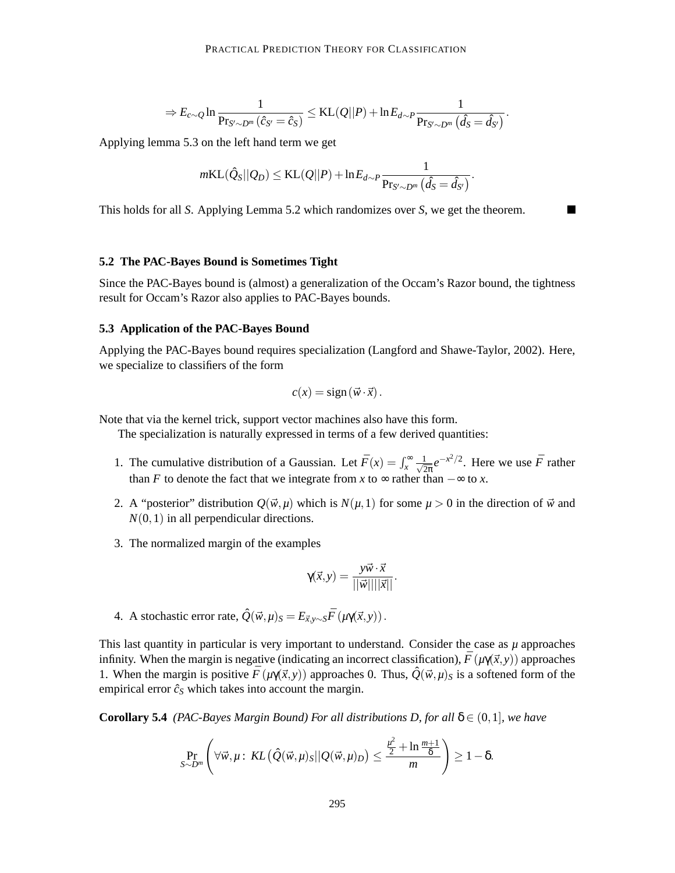$$
\Rightarrow E_{c \sim Q} \ln \frac{1}{\Pr_{S' \sim D'''}(\hat{c}_{S'} = \hat{c}_S)} \leq \mathrm{KL}(Q||P) + \ln E_{d \sim P} \frac{1}{\Pr_{S' \sim D'''}(\hat{d}_S = \hat{d}_{S'})}.
$$

Applying lemma 5.3 on the left hand term we get

$$
m\text{KL}(\hat{Q}_S||Q_D) \leq \text{KL}(Q||P) + \ln E_{d \sim P} \frac{1}{\Pr_{S' \sim D^m}(\hat{d}_S = \hat{d}_{S'})}.
$$

П

This holds for all *S*. Applying Lemma 5.2 which randomizes over *S*, we get the theorem.

## **5.2 The PAC-Bayes Bound is Sometimes Tight**

Since the PAC-Bayes bound is (almost) a generalization of the Occam's Razor bound, the tightness result for Occam's Razor also applies to PAC-Bayes bounds.

## **5.3 Application of the PAC-Bayes Bound**

Applying the PAC-Bayes bound requires specialization (Langford and Shawe-Taylor, 2002). Here, we specialize to classifiers of the form

$$
c(x) = sign(\vec{w} \cdot \vec{x}).
$$

Note that via the kernel trick, support vector machines also have this form.

The specialization is naturally expressed in terms of a few derived quantities:

- 1. The cumulative distribution of a Gaussian. Let  $\bar{F}(x) = \int_x^{\infty} \frac{1}{\sqrt{2}} dx$  $\frac{1}{2\pi}e^{-x^2/2}$ . Here we use  $\bar{F}$  rather than *F* to denote the fact that we integrate from *x* to  $\infty$  rather than  $-\infty$  to *x*.
- 2. A "posterior" distribution  $Q(\vec{w}, \mu)$  which is  $N(\mu, 1)$  for some  $\mu > 0$  in the direction of  $\vec{w}$  and  $N(0,1)$  in all perpendicular directions.
- 3. The normalized margin of the examples

$$
\gamma(\vec{x}, y) = \frac{y\vec{w} \cdot \vec{x}}{||\vec{w}|| ||\vec{x}||}.
$$

4. A stochastic error rate,  $\hat{Q}(\vec{w}, \mu)_{S} = E_{\vec{x}, y \sim S} \bar{F}(\mu \gamma(\vec{x}, y))$ .

This last quantity in particular is very important to understand. Consider the case as  $\mu$  approaches infinity. When the margin is negative (indicating an incorrect classification),  $\bar{F}(\mu\gamma(\vec{x}, y))$  approaches 1. When the margin is positive  $\bar{F}(\mu\gamma(\vec{x}, y))$  approaches 0. Thus,  $\hat{Q}(\vec{w}, \mu)_{S}$  is a softened form of the empirical error  $\hat{c}_s$  which takes into account the margin.

**Corollary 5.4** *(PAC-Bayes Margin Bound) For all distributions D, for all*  $\delta \in (0,1]$ *, we have* 

$$
\Pr_{S \sim D^m} \left( \forall \vec{w}, \mu \,:\, KL\left( \hat{Q}(\vec{w}, \mu)_S || Q(\vec{w}, \mu)_D \right) \leq \frac{\frac{\mu^2}{2} + \ln \frac{m+1}{\delta}}{m} \right) \geq 1 - \delta.
$$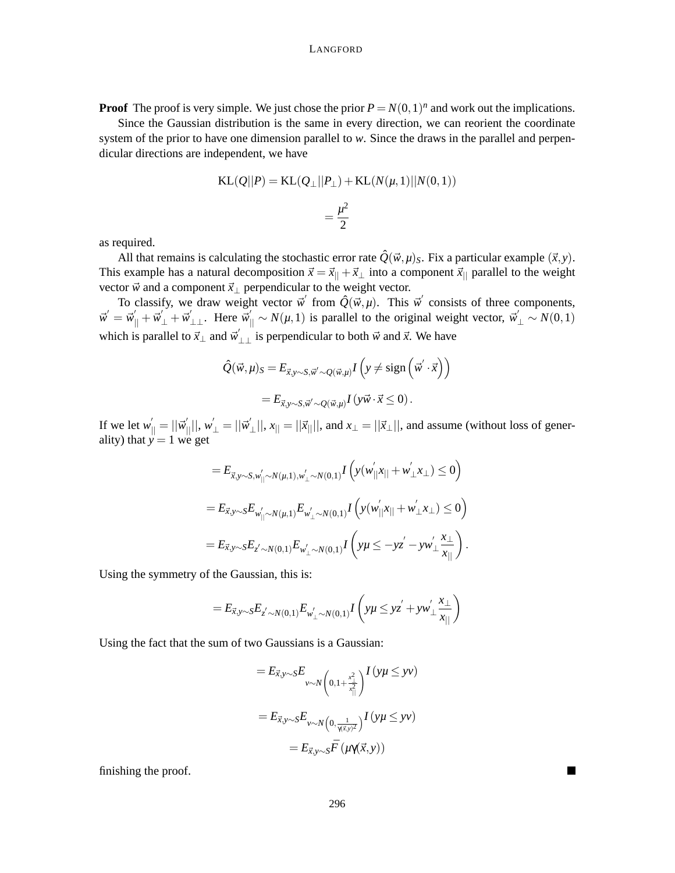**Proof** The proof is very simple. We just chose the prior  $P = N(0,1)^n$  and work out the implications.

Since the Gaussian distribution is the same in every direction, we can reorient the coordinate system of the prior to have one dimension parallel to *w*. Since the draws in the parallel and perpendicular directions are independent, we have

KL(Q||P) = KL(Q<sub>⊥</sub>||P<sub>⊥</sub>) + KL(N(μ, 1)||N(0, 1))  
= 
$$
\frac{\mu^2}{2}
$$

as required.

All that remains is calculating the stochastic error rate  $\hat{Q}(\vec{w}, \mu)$ <sub>*S*</sub>. Fix a particular example  $(\vec{x}, y)$ . This example has a natural decomposition  $\vec{x} = \vec{x}_{||} + \vec{x}_{\perp}$  into a component  $\vec{x}_{||}$  parallel to the weight vector  $\vec{w}$  and a component  $\vec{x}_\perp$  perpendicular to the weight vector.

To classify, we draw weight vector  $\vec{w}$  from  $\hat{Q}(\vec{w}, \mu)$ . This  $\vec{w}$  consists of three components,  $\vec{w}' = \vec{w}'_{\parallel} + \vec{w}'_{\perp} + \vec{w}'_{\perp\perp}$ . Here  $\vec{w}'_{\parallel} \sim N(\mu, 1)$  is parallel to the original weight vector,  $\vec{w}'_{\perp} \sim N(0, 1)$ which is parallel to  $\vec{x}_\perp$  and  $\vec{w}'_{\perp\perp}$  is perpendicular to both  $\vec{w}$  and  $\vec{x}$ . We have

$$
\hat{Q}(\vec{w}, \mu)_{S} = E_{\vec{x}, y \sim S, \vec{w}' \sim Q(\vec{w}, \mu)} I\left(y \neq \text{sign}\left(\vec{w}' \cdot \vec{x}\right)\right)
$$

$$
= E_{\vec{x}, y \sim S, \vec{w}' \sim Q(\vec{w}, \mu)} I\left(y\vec{w} \cdot \vec{x} \leq 0\right).
$$

If we let  $w'_{\parallel} = ||\vec{w}'_{\parallel}||$ ,  $w'_{\perp} = ||\vec{w}'_{\perp}||$  $||x||, x_{||} = ||\vec{x}||$ , and  $x_{\perp} = ||\vec{x}_{\perp}||$ , and assume (without loss of generality) that  $y = 1$  we get

$$
=E_{\vec{x},y\sim S,w'_{\parallel}\sim N(\mu,1),w'_{\perp}\sim N(0,1)}I\left(y(w'_{\parallel}x_{\parallel}+w'_{\perp}x_{\perp})\leq 0\right)
$$
  
=  $E_{\vec{x},y\sim S}E_{w'_{\parallel}\sim N(\mu,1)}E_{w'_{\perp}\sim N(0,1)}I\left(y(w'_{\parallel}x_{\parallel}+w'_{\perp}x_{\perp})\leq 0\right)$   
=  $E_{\vec{x},y\sim S}E_{z'\sim N(0,1)}E_{w'_{\perp}\sim N(0,1)}I\left(y\mu\leq -yz'-yw'_{\perp}\frac{x_{\perp}}{x_{\parallel}}\right).$ 

Using the symmetry of the Gaussian, this is:

$$
= E_{\vec{x},y\sim S} E_{z' \sim N(0,1)} E_{w'_\perp \sim N(0,1)} I\left(y\mu \leq yz' + yw'_\perp \frac{x_\perp}{x_{||}}\right)
$$

Using the fact that the sum of two Gaussians is a Gaussian:

$$
= E_{\vec{x}, y \sim S} E_{\nu \sim N \left(0, 1 + \frac{x_{\perp}^2}{x_{\parallel}^2}\right)} I\left(y\mu \leq y\nu\right)
$$

$$
= E_{\vec{x}, y \sim S} E_{\nu \sim N\left(0, \frac{1}{\gamma(\vec{x}, y)^2}\right)} I\left(y\mu \leq y\nu\right)
$$

$$
= E_{\vec{x}, y \sim S} \vec{F}\left(\mu\gamma(\vec{x}, y)\right)
$$

finishing the proof.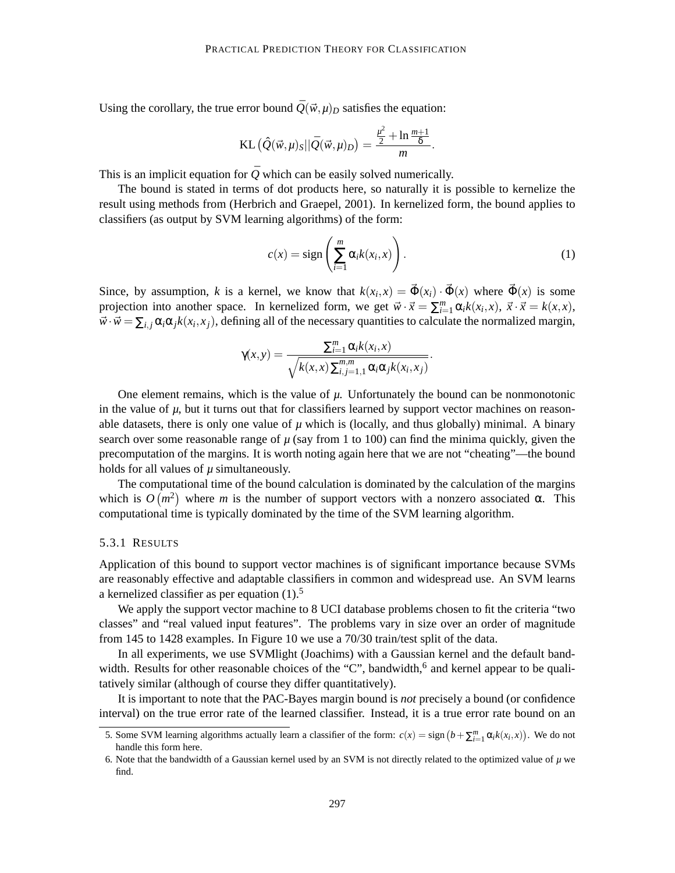Using the corollary, the true error bound  $\overline{Q}(\vec{w}, \mu)_D$  satisfies the equation:

KL 
$$
(\hat{Q}(\vec{w}, \mu)_{S} || \bar{Q}(\vec{w}, \mu)_{D}) = \frac{\frac{\mu^{2}}{2} + \ln \frac{m+1}{\delta}}{m}.
$$

This is an implicit equation for  $\overline{Q}$  which can be easily solved numerically.

The bound is stated in terms of dot products here, so naturally it is possible to kernelize the result using methods from (Herbrich and Graepel, 2001). In kernelized form, the bound applies to classifiers (as output by SVM learning algorithms) of the form:

$$
c(x) = sign\left(\sum_{i=1}^{m} \alpha_i k(x_i, x)\right).
$$
 (1)

Since, by assumption, *k* is a kernel, we know that  $k(x_i, x) = \vec{\Phi}(x_i) \cdot \vec{\Phi}(x)$  where  $\vec{\Phi}(x)$  is some projection into another space. In kernelized form, we get  $\vec{w} \cdot \vec{x} = \sum_{i=1}^{m} \alpha_i k(x_i, x)$ ,  $\vec{x} \cdot \vec{x} = k(x, x)$ ,  $\vec{w} \cdot \vec{w} = \sum_{i,j} \alpha_i \alpha_j k(x_i, x_j)$ , defining all of the necessary quantities to calculate the normalized margin,

$$
\gamma(x,y) = \frac{\sum_{i=1}^m \alpha_i k(x_i,x)}{\sqrt{k(x,x)\sum_{i,j=1,1}^{m,m} \alpha_i \alpha_j k(x_i,x_j)}}.
$$

One element remains, which is the value of  $\mu$ . Unfortunately the bound can be nonmonotonic in the value of  $\mu$ , but it turns out that for classifiers learned by support vector machines on reasonable datasets, there is only one value of  $\mu$  which is (locally, and thus globally) minimal. A binary search over some reasonable range of  $\mu$  (say from 1 to 100) can find the minima quickly, given the precomputation of the margins. It is worth noting again here that we are not "cheating"—the bound holds for all values of  $\mu$  simultaneously.

The computational time of the bound calculation is dominated by the calculation of the margins which is  $O(m^2)$  where *m* is the number of support vectors with a nonzero associated  $\alpha$ . This computational time is typically dominated by the time of the SVM learning algorithm.

#### 5.3.1 RESULTS

Application of this bound to support vector machines is of significant importance because SVMs are reasonably effective and adaptable classifiers in common and widespread use. An SVM learns a kernelized classifier as per equation  $(1)$ .<sup>5</sup>

We apply the support vector machine to 8 UCI database problems chosen to fit the criteria "two classes" and "real valued input features". The problems vary in size over an order of magnitude from 145 to 1428 examples. In Figure 10 we use a 70/30 train/test split of the data.

In all experiments, we use SVMlight (Joachims) with a Gaussian kernel and the default bandwidth. Results for other reasonable choices of the "C", bandwidth,  $6$  and kernel appear to be qualitatively similar (although of course they differ quantitatively).

It is important to note that the PAC-Bayes margin bound is *not* precisely a bound (or confidence interval) on the true error rate of the learned classifier. Instead, it is a true error rate bound on an

<sup>5.</sup> Some SVM learning algorithms actually learn a classifier of the form:  $c(x) = \text{sign}(b + \sum_{i=1}^{m} \alpha_i k(x_i, x))$ . We do not handle this form here.

<sup>6.</sup> Note that the bandwidth of a Gaussian kernel used by an SVM is not directly related to the optimized value of  $\mu$  we find.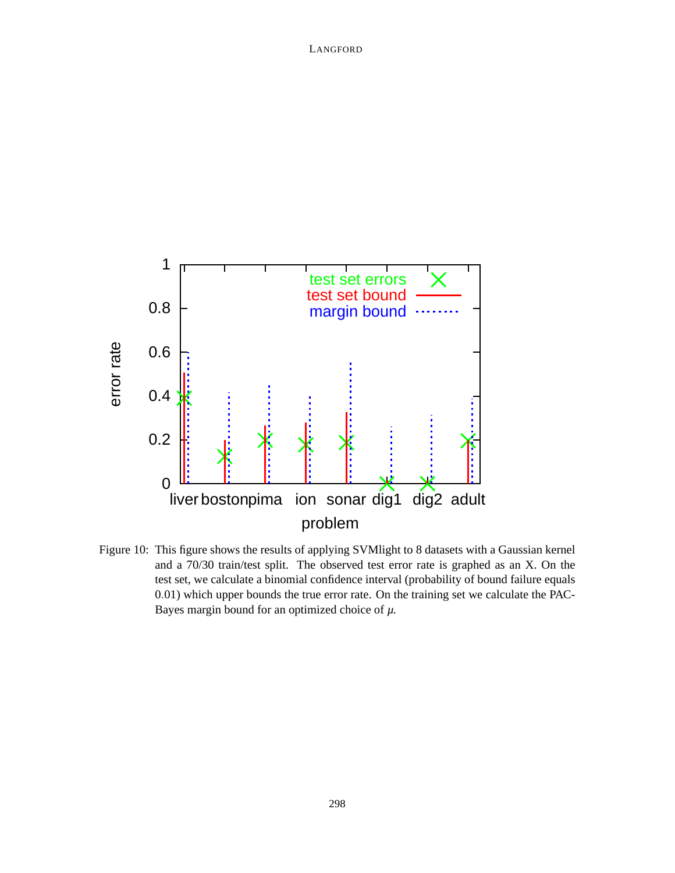

Figure 10: This figure shows the results of applying SVMlight to 8 datasets with a Gaussian kernel and a 70/30 train/test split. The observed test error rate is graphed as an X. On the test set, we calculate a binomial confidence interval (probability of bound failure equals 0.01) which upper bounds the true error rate. On the training set we calculate the PAC-Bayes margin bound for an optimized choice of *µ*.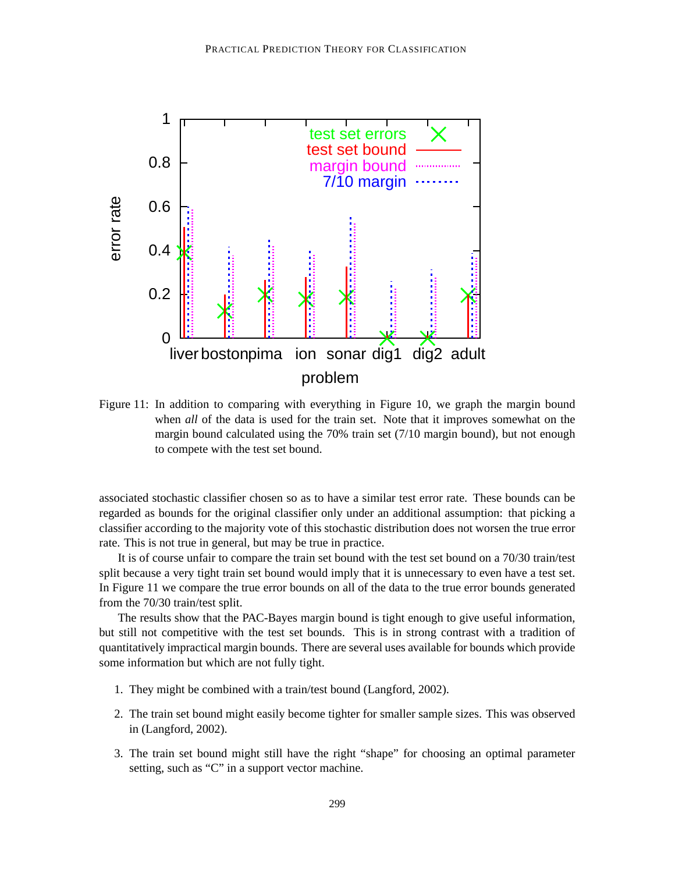

Figure 11: In addition to comparing with everything in Figure 10, we graph the margin bound when *all* of the data is used for the train set. Note that it improves somewhat on the margin bound calculated using the 70% train set (7/10 margin bound), but not enough to compete with the test set bound.

associated stochastic classifier chosen so as to have a similar test error rate. These bounds can be regarded as bounds for the original classifier only under an additional assumption: that picking a classifier according to the majority vote of this stochastic distribution does not worsen the true error rate. This is not true in general, but may be true in practice.

It is of course unfair to compare the train set bound with the test set bound on a 70/30 train/test split because a very tight train set bound would imply that it is unnecessary to even have a test set. In Figure 11 we compare the true error bounds on all of the data to the true error bounds generated from the 70/30 train/test split.

The results show that the PAC-Bayes margin bound is tight enough to give useful information, but still not competitive with the test set bounds. This is in strong contrast with a tradition of quantitatively impractical margin bounds. There are several uses available for bounds which provide some information but which are not fully tight.

- 1. They might be combined with a train/test bound (Langford, 2002).
- 2. The train set bound might easily become tighter for smaller sample sizes. This was observed in (Langford, 2002).
- 3. The train set bound might still have the right "shape" for choosing an optimal parameter setting, such as "C" in a support vector machine.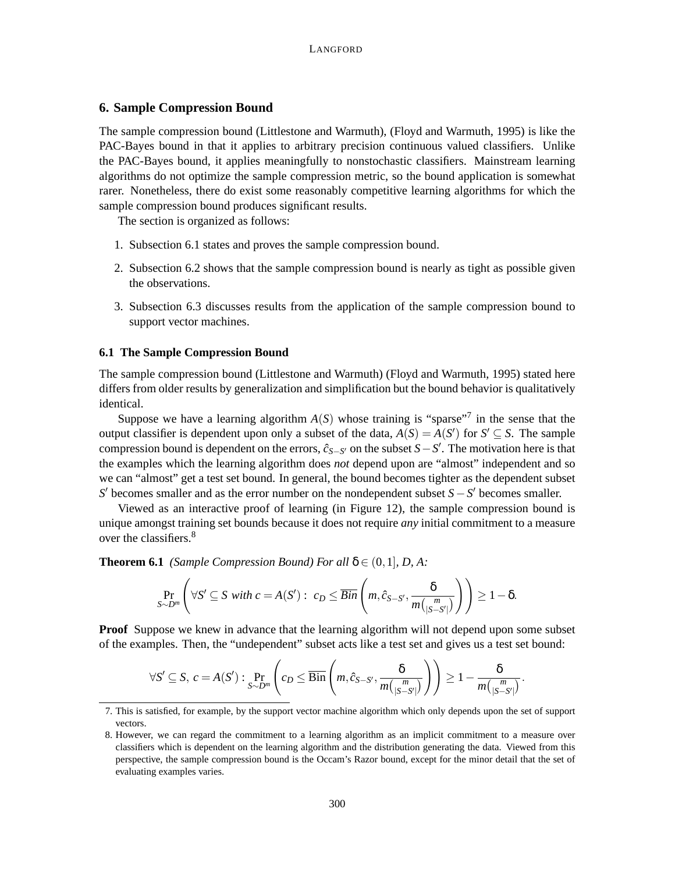## **6. Sample Compression Bound**

The sample compression bound (Littlestone and Warmuth), (Floyd and Warmuth, 1995) is like the PAC-Bayes bound in that it applies to arbitrary precision continuous valued classifiers. Unlike the PAC-Bayes bound, it applies meaningfully to nonstochastic classifiers. Mainstream learning algorithms do not optimize the sample compression metric, so the bound application is somewhat rarer. Nonetheless, there do exist some reasonably competitive learning algorithms for which the sample compression bound produces significant results.

The section is organized as follows:

- 1. Subsection 6.1 states and proves the sample compression bound.
- 2. Subsection 6.2 shows that the sample compression bound is nearly as tight as possible given the observations.
- 3. Subsection 6.3 discusses results from the application of the sample compression bound to support vector machines.

#### **6.1 The Sample Compression Bound**

The sample compression bound (Littlestone and Warmuth) (Floyd and Warmuth, 1995) stated here differs from older results by generalization and simplification but the bound behavior is qualitatively identical.

Suppose we have a learning algorithm  $A(S)$  whose training is "sparse"<sup>7</sup> in the sense that the output classifier is dependent upon only a subset of the data,  $A(S) = A(S')$  for  $S' \subseteq S$ . The sample compression bound is dependent on the errors,  $\hat{c}_{S-S}$  on the subset  $S-S'$ . The motivation here is that the examples which the learning algorithm does *not* depend upon are "almost" independent and so we can "almost" get a test set bound. In general, the bound becomes tighter as the dependent subset *S*<sup> $\prime$ </sup> becomes smaller and as the error number on the nondependent subset *S* − *S*<sup> $\prime$ </sup> becomes smaller.

Viewed as an interactive proof of learning (in Figure 12), the sample compression bound is unique amongst training set bounds because it does not require *any* initial commitment to a measure over the classifiers.<sup>8</sup>

**Theorem 6.1** *(Sample Compression Bound) For all*  $\delta \in (0,1], D, A$ :

$$
\Pr_{S \sim D^m} \left( \forall S' \subseteq S \text{ with } c = A(S') : c_D \leq \overline{Bin} \left( m, \hat{c}_{S-S'}, \frac{\delta}{m\binom{m}{|S-S'|}} \right) \right) \geq 1 - \delta.
$$

**Proof** Suppose we knew in advance that the learning algorithm will not depend upon some subset of the examples. Then, the "undependent" subset acts like a test set and gives us a test set bound:

$$
\forall S' \subseteq S, \ c = A(S') : \Pr_{S \sim D^m} \left( c_D \leq \overline{\text{Bin}} \left( m, \hat{c}_{S-S'}, \frac{\delta}{m {n \choose |S-S'|}} \right) \right) \geq 1 - \frac{\delta}{m {n \choose |S-S'|}}.
$$

<sup>7.</sup> This is satisfied, for example, by the support vector machine algorithm which only depends upon the set of support vectors.

<sup>8.</sup> However, we can regard the commitment to a learning algorithm as an implicit commitment to a measure over classifiers which is dependent on the learning algorithm and the distribution generating the data. Viewed from this perspective, the sample compression bound is the Occam's Razor bound, except for the minor detail that the set of evaluating examples varies.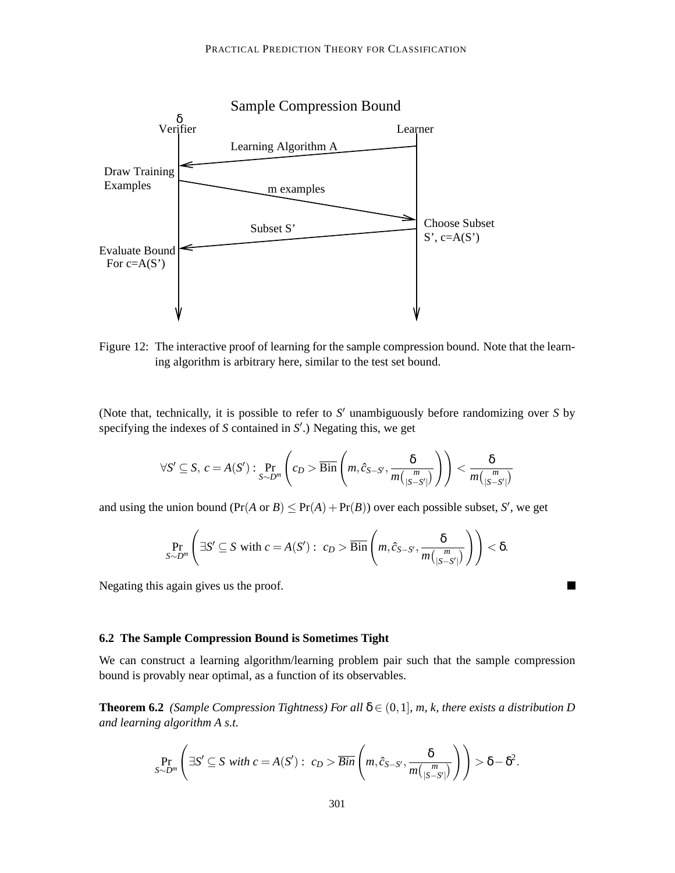

Figure 12: The interactive proof of learning for the sample compression bound. Note that the learning algorithm is arbitrary here, similar to the test set bound.

(Note that, technically, it is possible to refer to S' unambiguously before randomizing over S by specifying the indexes of *S* contained in *S'*.) Negating this, we get

$$
\forall S' \subseteq S, \ c = A(S') : \Pr_{S \sim D^m} \left( c_D > \overline{\text{Bin}} \left( m, \hat{c}_{S-S'}, \frac{\delta}{m {m \choose |S-S'|}} \right) \right) < \frac{\delta}{m {m \choose |S-S'|}}
$$

and using the union bound  $(\Pr(A \text{ or } B) \leq \Pr(A) + \Pr(B))$  over each possible subset, *S*<sup>'</sup>, we get

$$
\Pr_{S \sim D^m} \left( \exists S' \subseteq S \text{ with } c = A(S') : c_D > \overline{\text{Bin}} \left( m, \hat{c}_{S-S'}, \frac{\delta}{m {m \choose |S-S'|}} \right) \right) < \delta.
$$

 $\blacksquare$ 

Negating this again gives us the proof.

### **6.2 The Sample Compression Bound is Sometimes Tight**

We can construct a learning algorithm/learning problem pair such that the sample compression bound is provably near optimal, as a function of its observables.

**Theorem 6.2** *(Sample Compression Tightness) For all*  $\delta \in (0,1]$ *, m, k, there exists a distribution D and learning algorithm A s.t.*

$$
\Pr_{S \sim D^m} \left( \exists S' \subseteq S \text{ with } c = A(S') : c_D > \overline{Bin} \left( m, \hat{c}_{S-S'}, \frac{\delta}{m {n \choose |S-S'|}} \right) \right) > \delta - \delta^2.
$$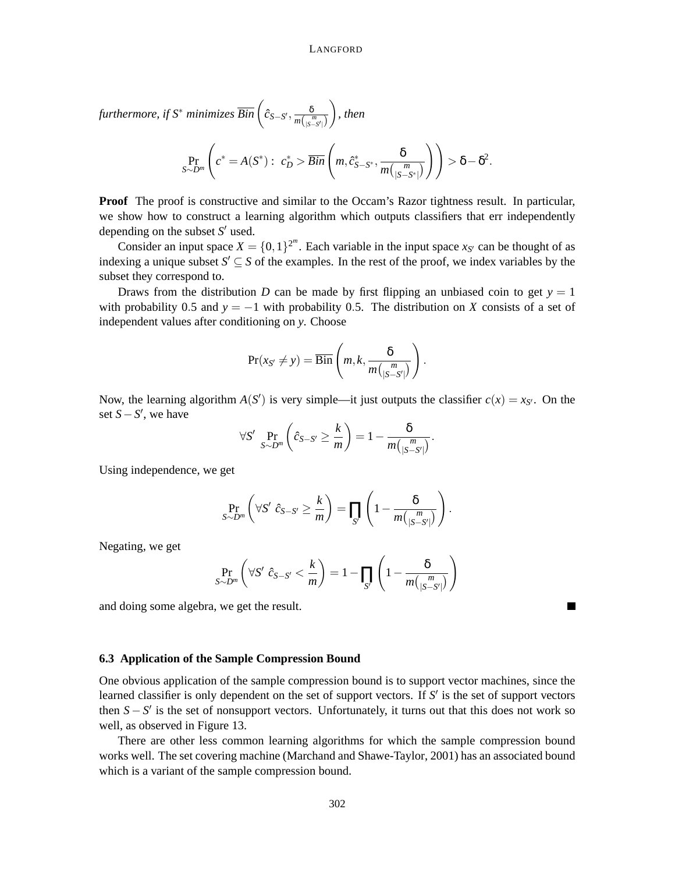$\hat{B}$  *furthermore, if S* $^*$  *minimizes*  $\overline{Bin}$   $\left( \hat{c}_{S-S'}, \frac{\delta}{m(\frac{c}{\delta})^2} \right)$  $m\binom{m}{|S-S'|}$ *, then*

$$
\Pr_{S \sim D^m}\left(c^* = A(S^*): c_D^* > \overline{Bin}\left(m, \hat{c}_{S-S^*}^*, \frac{\delta}{m\binom{m}{|S-S^*|}}\right)\right) > \delta - \delta^2.
$$

**Proof** The proof is constructive and similar to the Occam's Razor tightness result. In particular, we show how to construct a learning algorithm which outputs classifiers that err independently depending on the subset *S'* used.

Consider an input space  $X = \{0, 1\}^{2^m}$ . Each variable in the input space  $x_{S'}$  can be thought of as indexing a unique subset  $S' \subseteq S$  of the examples. In the rest of the proof, we index variables by the subset they correspond to.

Draws from the distribution *D* can be made by first flipping an unbiased coin to get  $y = 1$ with probability 0.5 and  $y = -1$  with probability 0.5. The distribution on *X* consists of a set of independent values after conditioning on *y*. Choose

$$
\Pr(x_{S'} \neq y) = \overline{\text{Bin}}\left(m, k, \frac{\delta}{m\left(\frac{m}{|S-S'|}\right)}\right).
$$

Now, the learning algorithm  $A(S')$  is very simple—it just outputs the classifier  $c(x) = x_{S'}$ . On the set  $S$  −  $S'$ , we have

$$
\forall S' \ \Pr_{S \sim D^m} \left( \hat{c}_{S-S'} \geq \frac{k}{m} \right) = 1 - \frac{\delta}{m \binom{m}{|S-S'|}}.
$$

Using independence, we get

$$
\Pr_{S \sim D^m} \left( \forall S' \ \hat{c}_{S-S'} \ge \frac{k}{m} \right) = \prod_{S'} \left( 1 - \frac{\delta}{m \binom{m}{|S-S'|}} \right)
$$

.

٠

Negating, we get

$$
\Pr_{S \sim D^m} \left( \forall S' \ \hat{c}_{S-S'} < \frac{k}{m} \right) = 1 - \prod_{S'} \left( 1 - \frac{\delta}{m \binom{m}{|S-S'|}} \right)
$$

and doing some algebra, we get the result.

#### **6.3 Application of the Sample Compression Bound**

One obvious application of the sample compression bound is to support vector machines, since the learned classifier is only dependent on the set of support vectors. If S' is the set of support vectors then  $S - S'$  is the set of nonsupport vectors. Unfortunately, it turns out that this does not work so well, as observed in Figure 13.

There are other less common learning algorithms for which the sample compression bound works well. The set covering machine (Marchand and Shawe-Taylor, 2001) has an associated bound which is a variant of the sample compression bound.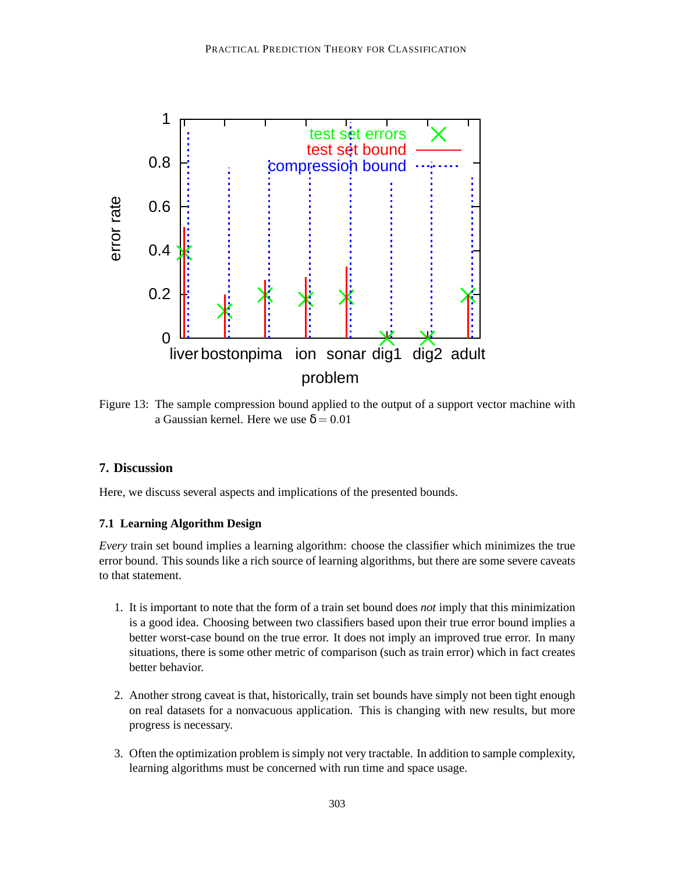

Figure 13: The sample compression bound applied to the output of a support vector machine with a Gaussian kernel. Here we use  $\delta = 0.01$ 

# **7. Discussion**

Here, we discuss several aspects and implications of the presented bounds.

# **7.1 Learning Algorithm Design**

*Every* train set bound implies a learning algorithm: choose the classifier which minimizes the true error bound. This sounds like a rich source of learning algorithms, but there are some severe caveats to that statement.

- 1. It is important to note that the form of a train set bound does *not* imply that this minimization is a good idea. Choosing between two classifiers based upon their true error bound implies a better worst-case bound on the true error. It does not imply an improved true error. In many situations, there is some other metric of comparison (such as train error) which in fact creates better behavior.
- 2. Another strong caveat is that, historically, train set bounds have simply not been tight enough on real datasets for a nonvacuous application. This is changing with new results, but more progress is necessary.
- 3. Often the optimization problem is simply not very tractable. In addition to sample complexity, learning algorithms must be concerned with run time and space usage.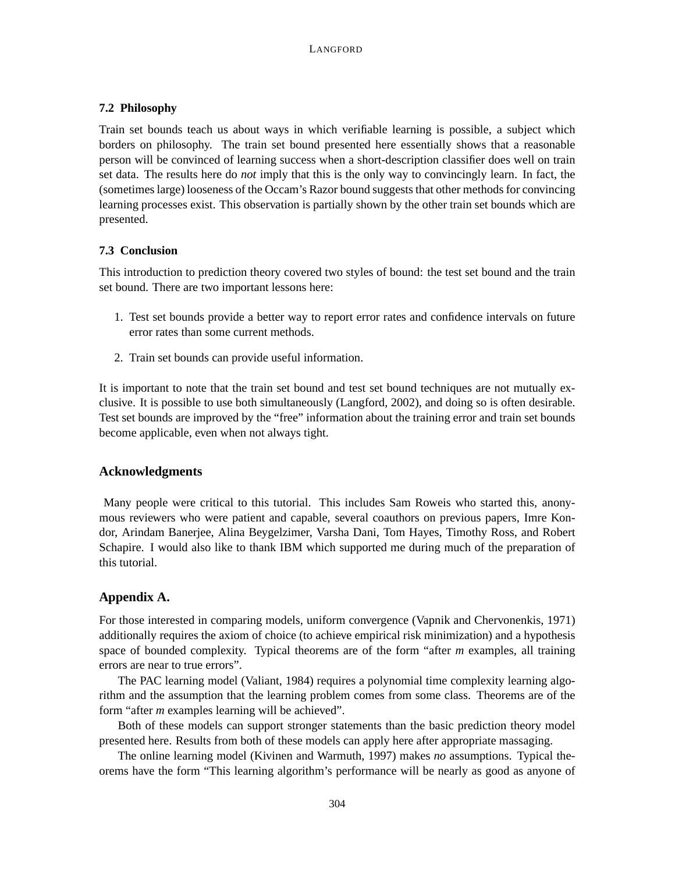## **7.2 Philosophy**

Train set bounds teach us about ways in which verifiable learning is possible, a subject which borders on philosophy. The train set bound presented here essentially shows that a reasonable person will be convinced of learning success when a short-description classifier does well on train set data. The results here do *not* imply that this is the only way to convincingly learn. In fact, the (sometimes large) looseness of the Occam's Razor bound suggests that other methods for convincing learning processes exist. This observation is partially shown by the other train set bounds which are presented.

## **7.3 Conclusion**

This introduction to prediction theory covered two styles of bound: the test set bound and the train set bound. There are two important lessons here:

- 1. Test set bounds provide a better way to report error rates and confidence intervals on future error rates than some current methods.
- 2. Train set bounds can provide useful information.

It is important to note that the train set bound and test set bound techniques are not mutually exclusive. It is possible to use both simultaneously (Langford, 2002), and doing so is often desirable. Test set bounds are improved by the "free" information about the training error and train set bounds become applicable, even when not always tight.

# **Acknowledgments**

Many people were critical to this tutorial. This includes Sam Roweis who started this, anonymous reviewers who were patient and capable, several coauthors on previous papers, Imre Kondor, Arindam Banerjee, Alina Beygelzimer, Varsha Dani, Tom Hayes, Timothy Ross, and Robert Schapire. I would also like to thank IBM which supported me during much of the preparation of this tutorial.

# **Appendix A.**

For those interested in comparing models, uniform convergence (Vapnik and Chervonenkis, 1971) additionally requires the axiom of choice (to achieve empirical risk minimization) and a hypothesis space of bounded complexity. Typical theorems are of the form "after *m* examples, all training errors are near to true errors".

The PAC learning model (Valiant, 1984) requires a polynomial time complexity learning algorithm and the assumption that the learning problem comes from some class. Theorems are of the form "after *m* examples learning will be achieved".

Both of these models can support stronger statements than the basic prediction theory model presented here. Results from both of these models can apply here after appropriate massaging.

The online learning model (Kivinen and Warmuth, 1997) makes *no* assumptions. Typical theorems have the form "This learning algorithm's performance will be nearly as good as anyone of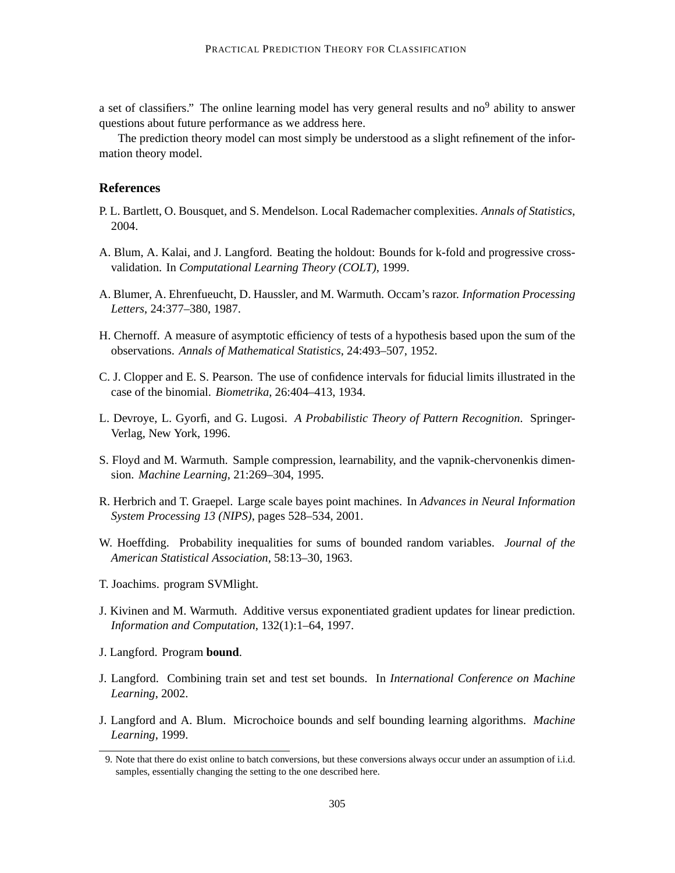a set of classifiers." The online learning model has very general results and  $no<sup>9</sup>$  ability to answer questions about future performance as we address here.

The prediction theory model can most simply be understood as a slight refinement of the information theory model.

## **References**

- P. L. Bartlett, O. Bousquet, and S. Mendelson. Local Rademacher complexities. *Annals of Statistics*, 2004.
- A. Blum, A. Kalai, and J. Langford. Beating the holdout: Bounds for k-fold and progressive crossvalidation. In *Computational Learning Theory (COLT)*, 1999.
- A. Blumer, A. Ehrenfueucht, D. Haussler, and M. Warmuth. Occam's razor. *Information Processing Letters*, 24:377–380, 1987.
- H. Chernoff. A measure of asymptotic efficiency of tests of a hypothesis based upon the sum of the observations. *Annals of Mathematical Statistics*, 24:493–507, 1952.
- C. J. Clopper and E. S. Pearson. The use of confidence intervals for fiducial limits illustrated in the case of the binomial. *Biometrika*, 26:404–413, 1934.
- L. Devroye, L. Gyorfi, and G. Lugosi. *A Probabilistic Theory of Pattern Recognition*. Springer-Verlag, New York, 1996.
- S. Floyd and M. Warmuth. Sample compression, learnability, and the vapnik-chervonenkis dimension. *Machine Learning*, 21:269–304, 1995.
- R. Herbrich and T. Graepel. Large scale bayes point machines. In *Advances in Neural Information System Processing 13 (NIPS)*, pages 528–534, 2001.
- W. Hoeffding. Probability inequalities for sums of bounded random variables. *Journal of the American Statistical Association*, 58:13–30, 1963.
- T. Joachims. program SVMlight.
- J. Kivinen and M. Warmuth. Additive versus exponentiated gradient updates for linear prediction. *Information and Computation*, 132(1):1–64, 1997.
- J. Langford. Program **bound**.
- J. Langford. Combining train set and test set bounds. In *International Conference on Machine Learning*, 2002.
- J. Langford and A. Blum. Microchoice bounds and self bounding learning algorithms. *Machine Learning*, 1999.

<sup>9.</sup> Note that there do exist online to batch conversions, but these conversions always occur under an assumption of i.i.d. samples, essentially changing the setting to the one described here.